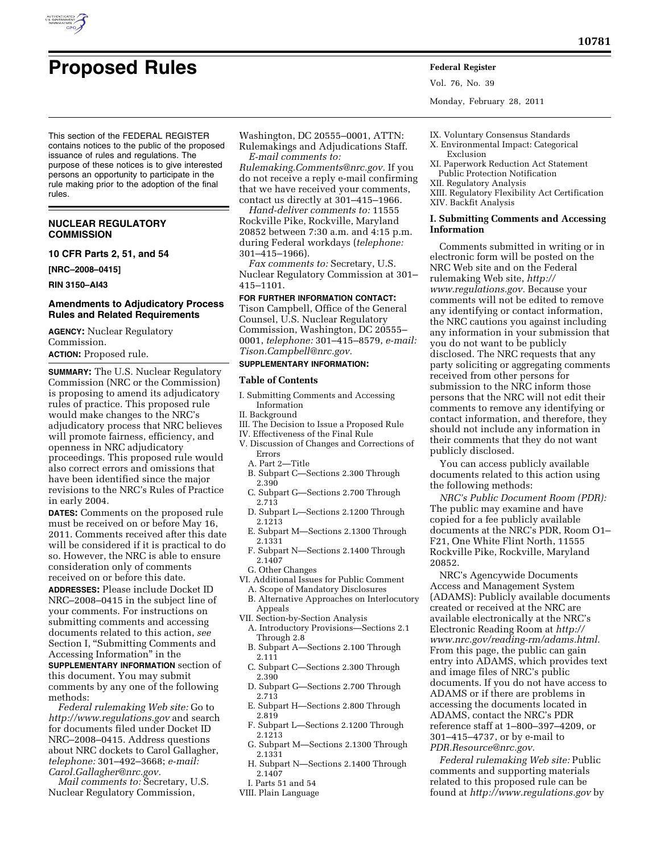

# **Proposed Rules Federal Register**

Vol. 76, No. 39

Monday, February 28, 2011

This section of the FEDERAL REGISTER contains notices to the public of the proposed issuance of rules and regulations. The purpose of these notices is to give interested persons an opportunity to participate in the rule making prior to the adoption of the final rules.

# **NUCLEAR REGULATORY COMMISSION**

**10 CFR Parts 2, 51, and 54** 

**[NRC–2008–0415]** 

**RIN 3150–AI43** 

# **Amendments to Adjudicatory Process Rules and Related Requirements**

**AGENCY:** Nuclear Regulatory Commission.

**ACTION:** Proposed rule.

**SUMMARY:** The U.S. Nuclear Regulatory Commission (NRC or the Commission) is proposing to amend its adjudicatory rules of practice. This proposed rule would make changes to the NRC's adjudicatory process that NRC believes will promote fairness, efficiency, and openness in NRC adjudicatory proceedings. This proposed rule would also correct errors and omissions that have been identified since the major revisions to the NRC's Rules of Practice in early 2004.

**DATES:** Comments on the proposed rule must be received on or before May 16, 2011. Comments received after this date will be considered if it is practical to do so. However, the NRC is able to ensure consideration only of comments received on or before this date.

**ADDRESSES:** Please include Docket ID NRC–2008–0415 in the subject line of your comments. For instructions on submitting comments and accessing documents related to this action, *see*  Section I, ''Submitting Comments and Accessing Information'' in the

**SUPPLEMENTARY INFORMATION** section of this document. You may submit comments by any one of the following methods:

*Federal rulemaking Web site:* Go to *<http://www.regulations.gov>* and search for documents filed under Docket ID NRC–2008–0415. Address questions about NRC dockets to Carol Gallagher, *telephone:* 301–492–3668; *e-mail: [Carol.Gallagher@nrc.gov.](mailto:Carol.Gallagher@nrc.gov)* 

*Mail comments to:* Secretary, U.S. Nuclear Regulatory Commission,

Washington, DC 20555–0001, ATTN: Rulemakings and Adjudications Staff.

*E-mail comments to: [Rulemaking.Comments@nrc.gov.](mailto:Rulemaking.Comments@nrc.gov)* If you do not receive a reply e-mail confirming that we have received your comments, contact us directly at 301–415–1966.

*Hand-deliver comments to:* 11555 Rockville Pike, Rockville, Maryland 20852 between 7:30 a.m. and 4:15 p.m. during Federal workdays (*telephone:*  301–415–1966).

*Fax comments to:* Secretary, U.S. Nuclear Regulatory Commission at 301– 415–1101.

# **FOR FURTHER INFORMATION CONTACT:**

Tison Campbell, Office of the General Counsel, U.S. Nuclear Regulatory Commission, Washington, DC 20555– 0001, *telephone:* 301–415–8579, *e-mail: [Tison.Campbell@nrc.gov.](mailto:Tison.Campbell@nrc.gov)* 

# **SUPPLEMENTARY INFORMATION:**

# **Table of Contents**

- I. Submitting Comments and Accessing Information
- II. Background
- III. The Decision to Issue a Proposed Rule
- IV. Effectiveness of the Final Rule
- V. Discussion of Changes and Corrections of Errors
	- A. Part 2—Title
	- B. Subpart C—Sections 2.300 Through 2.390
	- C. Subpart G—Sections 2.700 Through 2.713
	- D. Subpart L—Sections 2.1200 Through 2.1213
	- E. Subpart M—Sections 2.1300 Through 2.1331
	- F. Subpart N—Sections 2.1400 Through 2.1407
	- G. Other Changes
- VI. Additional Issues for Public Comment
- A. Scope of Mandatory Disclosures B. Alternative Approaches on Interlocutory **Appeals**
- VII. Section-by-Section Analysis
- A. Introductory Provisions—Sections 2.1 Through 2.8
- B. Subpart A—Sections 2.100 Through 2.111
- C. Subpart C—Sections 2.300 Through 2.390
- D. Subpart G—Sections 2.700 Through 2.713
- E. Subpart H—Sections 2.800 Through 2.819
- F. Subpart L—Sections 2.1200 Through 2.1213
- G. Subpart M—Sections 2.1300 Through 2.1331
- H. Subpart N—Sections 2.1400 Through 2.1407
- I. Parts 51 and 54
- VIII. Plain Language
- X. Environmental Impact: Categorical Exclusion
- XI. Paperwork Reduction Act Statement Public Protection Notification
- XII. Regulatory Analysis
- XIII. Regulatory Flexibility Act Certification XIV. Backfit Analysis

# **I. Submitting Comments and Accessing Information**

Comments submitted in writing or in electronic form will be posted on the NRC Web site and on the Federal rulemaking Web site, *[http://](http://www.regulations.gov) [www.regulations.gov.](http://www.regulations.gov)* Because your comments will not be edited to remove any identifying or contact information, the NRC cautions you against including any information in your submission that you do not want to be publicly disclosed. The NRC requests that any party soliciting or aggregating comments received from other persons for submission to the NRC inform those persons that the NRC will not edit their comments to remove any identifying or contact information, and therefore, they should not include any information in their comments that they do not want publicly disclosed.

You can access publicly available documents related to this action using the following methods:

*NRC's Public Document Room (PDR):*  The public may examine and have copied for a fee publicly available documents at the NRC's PDR, Room O1– F21, One White Flint North, 11555 Rockville Pike, Rockville, Maryland 20852.

NRC's Agencywide Documents Access and Management System (ADAMS): Publicly available documents created or received at the NRC are available electronically at the NRC's Electronic Reading Room at *[http://](http://www.nrc.gov/reading-rm/adams.html) [www.nrc.gov/reading-rm/adams.html.](http://www.nrc.gov/reading-rm/adams.html)*  From this page, the public can gain entry into ADAMS, which provides text and image files of NRC's public documents. If you do not have access to ADAMS or if there are problems in accessing the documents located in ADAMS, contact the NRC's PDR reference staff at 1–800–397–4209, or 301–415–4737, or by e-mail to *[PDR.Resource@nrc.gov.](mailto:PDR.Resource@nrc.gov)* 

*Federal rulemaking Web site:* Public comments and supporting materials related to this proposed rule can be found at *<http://www.regulations.gov>* by

IX. Voluntary Consensus Standards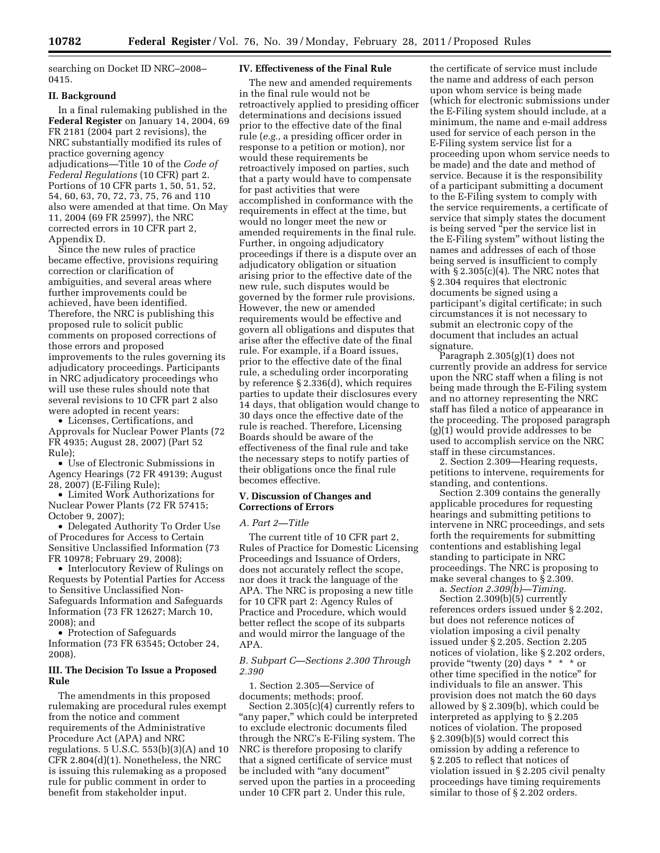searching on Docket ID NRC–2008– 0415.

# **II. Background**

In a final rulemaking published in the **Federal Register** on January 14, 2004, 69 FR 2181 (2004 part 2 revisions), the NRC substantially modified its rules of practice governing agency adjudications—Title 10 of the *Code of Federal Regulations* (10 CFR) part 2. Portions of 10 CFR parts 1, 50, 51, 52, 54, 60, 63, 70, 72, 73, 75, 76 and 110 also were amended at that time. On May 11, 2004 (69 FR 25997), the NRC corrected errors in 10 CFR part 2, Appendix D.

Since the new rules of practice became effective, provisions requiring correction or clarification of ambiguities, and several areas where further improvements could be achieved, have been identified. Therefore, the NRC is publishing this proposed rule to solicit public comments on proposed corrections of those errors and proposed improvements to the rules governing its adjudicatory proceedings. Participants in NRC adjudicatory proceedings who will use these rules should note that several revisions to 10 CFR part 2 also were adopted in recent years:

• Licenses, Certifications, and Approvals for Nuclear Power Plants (72 FR 4935; August 28, 2007) (Part 52 Rule);

• Use of Electronic Submissions in Agency Hearings (72 FR 49139; August 28, 2007) (E-Filing Rule);

• Limited Work Authorizations for Nuclear Power Plants (72 FR 57415; October 9, 2007);

• Delegated Authority To Order Use of Procedures for Access to Certain Sensitive Unclassified Information (73 FR 10978; February 29, 2008);

• Interlocutory Review of Rulings on Requests by Potential Parties for Access to Sensitive Unclassified Non-Safeguards Information and Safeguards Information (73 FR 12627; March 10, 2008); and

• Protection of Safeguards Information (73 FR 63545; October 24, 2008).

# **III. The Decision To Issue a Proposed Rule**

The amendments in this proposed rulemaking are procedural rules exempt from the notice and comment requirements of the Administrative Procedure Act (APA) and NRC regulations. 5 U.S.C. 553(b)(3)(A) and 10 CFR 2.804(d)(1). Nonetheless, the NRC is issuing this rulemaking as a proposed rule for public comment in order to benefit from stakeholder input.

## **IV. Effectiveness of the Final Rule**

The new and amended requirements in the final rule would not be retroactively applied to presiding officer determinations and decisions issued prior to the effective date of the final rule (*e.g.,* a presiding officer order in response to a petition or motion), nor would these requirements be retroactively imposed on parties, such that a party would have to compensate for past activities that were accomplished in conformance with the requirements in effect at the time, but would no longer meet the new or amended requirements in the final rule. Further, in ongoing adjudicatory proceedings if there is a dispute over an adjudicatory obligation or situation arising prior to the effective date of the new rule, such disputes would be governed by the former rule provisions. However, the new or amended requirements would be effective and govern all obligations and disputes that arise after the effective date of the final rule. For example, if a Board issues, prior to the effective date of the final rule, a scheduling order incorporating by reference § 2.336(d), which requires parties to update their disclosures every 14 days, that obligation would change to 30 days once the effective date of the rule is reached. Therefore, Licensing Boards should be aware of the effectiveness of the final rule and take the necessary steps to notify parties of their obligations once the final rule becomes effective.

# **V. Discussion of Changes and Corrections of Errors**

## *A. Part 2—Title*

The current title of 10 CFR part 2, Rules of Practice for Domestic Licensing Proceedings and Issuance of Orders, does not accurately reflect the scope, nor does it track the language of the APA. The NRC is proposing a new title for 10 CFR part 2: Agency Rules of Practice and Procedure, which would better reflect the scope of its subparts and would mirror the language of the APA.

# *B. Subpart C—Sections 2.300 Through 2.390*

1. Section 2.305—Service of documents; methods; proof.

Section 2.305(c)(4) currently refers to "any paper," which could be interpreted to exclude electronic documents filed through the NRC's E-Filing system. The NRC is therefore proposing to clarify that a signed certificate of service must be included with "any document" served upon the parties in a proceeding under 10 CFR part 2. Under this rule,

the certificate of service must include the name and address of each person upon whom service is being made (which for electronic submissions under the E-Filing system should include, at a minimum, the name and e-mail address used for service of each person in the E-Filing system service list for a proceeding upon whom service needs to be made) and the date and method of service. Because it is the responsibility of a participant submitting a document to the E-Filing system to comply with the service requirements, a certificate of service that simply states the document is being served ''per the service list in the E-Filing system'' without listing the names and addresses of each of those being served is insufficient to comply with  $\S 2.305(c)(4)$ . The NRC notes that § 2.304 requires that electronic documents be signed using a participant's digital certificate; in such circumstances it is not necessary to submit an electronic copy of the document that includes an actual signature.

Paragraph 2.305(g)(1) does not currently provide an address for service upon the NRC staff when a filing is not being made through the E-Filing system and no attorney representing the NRC staff has filed a notice of appearance in the proceeding. The proposed paragraph (g)(1) would provide addresses to be used to accomplish service on the NRC staff in these circumstances.

2. Section 2.309—Hearing requests, petitions to intervene, requirements for standing, and contentions.

Section 2.309 contains the generally applicable procedures for requesting hearings and submitting petitions to intervene in NRC proceedings, and sets forth the requirements for submitting contentions and establishing legal standing to participate in NRC proceedings. The NRC is proposing to make several changes to § 2.309.

a. *Section 2.309(b)—Timing.*  Section 2.309(b)(5) currently references orders issued under § 2.202, but does not reference notices of violation imposing a civil penalty issued under § 2.205. Section 2.205 notices of violation, like § 2.202 orders, provide "twenty (20) days \* \* \* or other time specified in the notice'' for individuals to file an answer. This provision does not match the 60 days allowed by § 2.309(b), which could be interpreted as applying to § 2.205 notices of violation. The proposed § 2.309(b)(5) would correct this omission by adding a reference to § 2.205 to reflect that notices of violation issued in § 2.205 civil penalty proceedings have timing requirements similar to those of § 2.202 orders.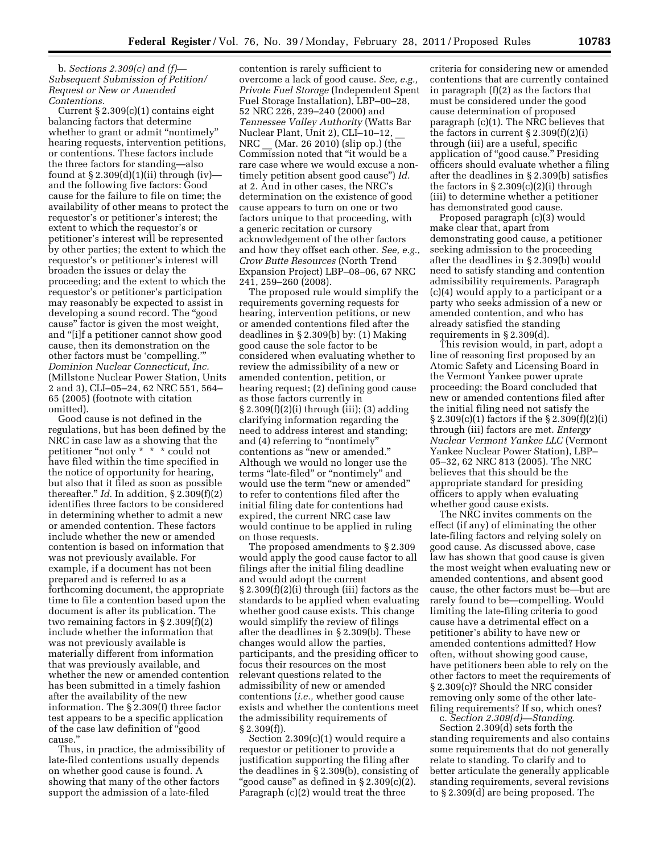# b. *Sections 2.309(c) and (f)— Subsequent Submission of Petition/ Request or New or Amended Contentions.*

Current  $\S 2.309(c)(1)$  contains eight balancing factors that determine whether to grant or admit "nontimely" hearing requests, intervention petitions, or contentions. These factors include the three factors for standing—also found at  $\S 2.309(d)(1)(ii)$  through (iv) and the following five factors: Good cause for the failure to file on time; the availability of other means to protect the requestor's or petitioner's interest; the extent to which the requestor's or petitioner's interest will be represented by other parties; the extent to which the requestor's or petitioner's interest will broaden the issues or delay the proceeding; and the extent to which the requestor's or petitioner's participation may reasonably be expected to assist in developing a sound record. The ''good cause'' factor is given the most weight, and ''[i]f a petitioner cannot show good cause, then its demonstration on the other factors must be 'compelling.''' *Dominion Nuclear Connecticut, Inc.*  (Millstone Nuclear Power Station, Units 2 and 3), CLI–05–24, 62 NRC 551, 564– 65 (2005) (footnote with citation omitted).

Good cause is not defined in the regulations, but has been defined by the NRC in case law as a showing that the petitioner "not only \* \* \* could not have filed within the time specified in the notice of opportunity for hearing, but also that it filed as soon as possible thereafter."  $Id$ . In addition,  $\S 2.309(f)(2)$ identifies three factors to be considered in determining whether to admit a new or amended contention. These factors include whether the new or amended contention is based on information that was not previously available. For example, if a document has not been prepared and is referred to as a forthcoming document, the appropriate time to file a contention based upon the document is after its publication. The two remaining factors in  $\S 2.309(f)(2)$ include whether the information that was not previously available is materially different from information that was previously available, and whether the new or amended contention has been submitted in a timely fashion after the availability of the new information. The § 2.309(f) three factor test appears to be a specific application of the case law definition of ''good cause.''

Thus, in practice, the admissibility of late-filed contentions usually depends on whether good cause is found. A showing that many of the other factors support the admission of a late-filed

contention is rarely sufficient to overcome a lack of good cause. *See, e.g., Private Fuel Storage* (Independent Spent Fuel Storage Installation), LBP–00–28, 52 NRC 226, 239–240 (2000) and *Tennessee Valley Authority* (Watts Bar Nuclear Plant, Unit 2), CLI–10–12, \_\_ NRC (Mar. 26 2010) (slip op.) (the Commission noted that ''it would be a rare case where we would excuse a nontimely petition absent good cause'') *Id.*  at 2. And in other cases, the NRC's determination on the existence of good cause appears to turn on one or two factors unique to that proceeding, with a generic recitation or cursory acknowledgement of the other factors and how they offset each other. *See, e.g., Crow Butte Resources* (North Trend Expansion Project) LBP–08–06, 67 NRC 241, 259–260 (2008).

The proposed rule would simplify the requirements governing requests for hearing, intervention petitions, or new or amended contentions filed after the deadlines in § 2.309(b) by: (1) Making good cause the sole factor to be considered when evaluating whether to review the admissibility of a new or amended contention, petition, or hearing request; (2) defining good cause as those factors currently in § 2.309(f)(2)(i) through (iii); (3) adding clarifying information regarding the need to address interest and standing; and (4) referring to "nontimely" contentions as ''new or amended.'' Although we would no longer use the terms "late-filed" or "nontimely" and would use the term ''new or amended'' to refer to contentions filed after the initial filing date for contentions had expired, the current NRC case law would continue to be applied in ruling on those requests.

The proposed amendments to § 2.309 would apply the good cause factor to all filings after the initial filing deadline and would adopt the current § 2.309(f)(2)(i) through (iii) factors as the standards to be applied when evaluating whether good cause exists. This change would simplify the review of filings after the deadlines in § 2.309(b). These changes would allow the parties, participants, and the presiding officer to focus their resources on the most relevant questions related to the admissibility of new or amended contentions (*i.e.,* whether good cause exists and whether the contentions meet the admissibility requirements of § 2.309(f)).

Section 2.309(c)(1) would require a requestor or petitioner to provide a justification supporting the filing after the deadlines in § 2.309(b), consisting of "good cause" as defined in  $\S 2.309(c)(2)$ . Paragraph (c)(2) would treat the three

criteria for considering new or amended contentions that are currently contained in paragraph (f)(2) as the factors that must be considered under the good cause determination of proposed paragraph (c)(1). The NRC believes that the factors in current  $\S 2.309(f)(2)(i)$ through (iii) are a useful, specific application of "good cause." Presiding officers should evaluate whether a filing after the deadlines in § 2.309(b) satisfies the factors in § 2.309(c)(2)(i) through (iii) to determine whether a petitioner has demonstrated good cause.

Proposed paragraph (c)(3) would make clear that, apart from demonstrating good cause, a petitioner seeking admission to the proceeding after the deadlines in § 2.309(b) would need to satisfy standing and contention admissibility requirements. Paragraph (c)(4) would apply to a participant or a party who seeks admission of a new or amended contention, and who has already satisfied the standing requirements in § 2.309(d).

This revision would, in part, adopt a line of reasoning first proposed by an Atomic Safety and Licensing Board in the Vermont Yankee power uprate proceeding; the Board concluded that new or amended contentions filed after the initial filing need not satisfy the § 2.309(c)(1) factors if the § 2.309(f)(2)(i) through (iii) factors are met. *Entergy Nuclear Vermont Yankee LLC* (Vermont Yankee Nuclear Power Station), LBP– 05–32, 62 NRC 813 (2005). The NRC believes that this should be the appropriate standard for presiding officers to apply when evaluating whether good cause exists.

The NRC invites comments on the effect (if any) of eliminating the other late-filing factors and relying solely on good cause. As discussed above, case law has shown that good cause is given the most weight when evaluating new or amended contentions, and absent good cause, the other factors must be—but are rarely found to be—compelling. Would limiting the late-filing criteria to good cause have a detrimental effect on a petitioner's ability to have new or amended contentions admitted? How often, without showing good cause, have petitioners been able to rely on the other factors to meet the requirements of § 2.309(c)? Should the NRC consider removing only some of the other latefiling requirements? If so, which ones?

c. *Section 2.309(d)—Standing.* 

Section 2.309(d) sets forth the standing requirements and also contains some requirements that do not generally relate to standing. To clarify and to better articulate the generally applicable standing requirements, several revisions to § 2.309(d) are being proposed. The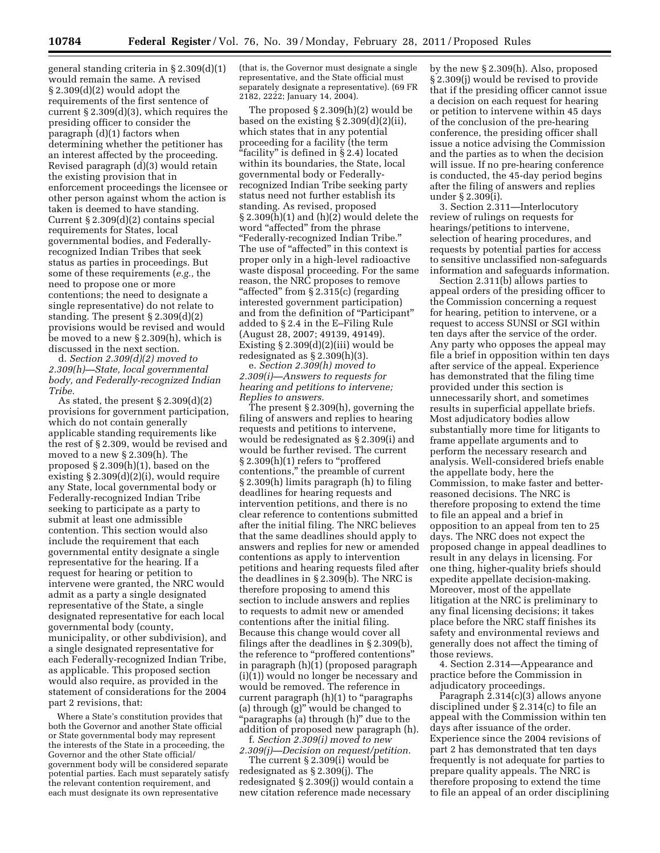general standing criteria in § 2.309(d)(1) would remain the same. A revised § 2.309(d)(2) would adopt the requirements of the first sentence of current § 2.309(d)(3), which requires the presiding officer to consider the paragraph (d)(1) factors when determining whether the petitioner has an interest affected by the proceeding. Revised paragraph (d)(3) would retain the existing provision that in enforcement proceedings the licensee or other person against whom the action is taken is deemed to have standing. Current § 2.309(d)(2) contains special requirements for States, local governmental bodies, and Federallyrecognized Indian Tribes that seek status as parties in proceedings. But some of these requirements (*e.g.,* the need to propose one or more contentions; the need to designate a single representative) do not relate to standing. The present § 2.309(d)(2) provisions would be revised and would be moved to a new § 2.309(h), which is discussed in the next section.

d. *Section 2.309(d)(2) moved to 2.309(h)—State, local governmental body, and Federally-recognized Indian Tribe.* 

As stated, the present § 2.309(d)(2) provisions for government participation, which do not contain generally applicable standing requirements like the rest of § 2.309, would be revised and moved to a new § 2.309(h). The proposed § 2.309(h)(1), based on the existing § 2.309(d)(2)(i), would require any State, local governmental body or Federally-recognized Indian Tribe seeking to participate as a party to submit at least one admissible contention. This section would also include the requirement that each governmental entity designate a single representative for the hearing. If a request for hearing or petition to intervene were granted, the NRC would admit as a party a single designated representative of the State, a single designated representative for each local governmental body (county, municipality, or other subdivision), and a single designated representative for each Federally-recognized Indian Tribe, as applicable. This proposed section would also require, as provided in the statement of considerations for the 2004 part 2 revisions, that:

Where a State's constitution provides that both the Governor and another State official or State governmental body may represent the interests of the State in a proceeding, the Governor and the other State official/ government body will be considered separate potential parties. Each must separately satisfy the relevant contention requirement, and each must designate its own representative

(that is, the Governor must designate a single representative, and the State official must separately designate a representative). (69 FR 2182, 2222; January 14, 2004).

The proposed § 2.309(h)(2) would be based on the existing § 2.309(d)(2)(ii), which states that in any potential proceeding for a facility (the term ''facility'' is defined in § 2.4) located within its boundaries, the State, local governmental body or Federallyrecognized Indian Tribe seeking party status need not further establish its standing. As revised, proposed § 2.309(h)(1) and (h)(2) would delete the word "affected" from the phrase ''Federally-recognized Indian Tribe.'' The use of "affected" in this context is proper only in a high-level radioactive waste disposal proceeding. For the same reason, the NRC proposes to remove "affected" from § 2.315(c) (regarding interested government participation) and from the definition of ''Participant'' added to § 2.4 in the E–Filing Rule (August 28, 2007; 49139, 49149). Existing § 2.309(d)(2)(iii) would be redesignated as § 2.309(h)(3).

e. *Section 2.309(h) moved to 2.309(i)—Answers to requests for hearing and petitions to intervene; Replies to answers.* 

The present § 2.309(h), governing the filing of answers and replies to hearing requests and petitions to intervene, would be redesignated as § 2.309(i) and would be further revised. The current § 2.309(h)(1) refers to "proffered contentions,'' the preamble of current § 2.309(h) limits paragraph (h) to filing deadlines for hearing requests and intervention petitions, and there is no clear reference to contentions submitted after the initial filing. The NRC believes that the same deadlines should apply to answers and replies for new or amended contentions as apply to intervention petitions and hearing requests filed after the deadlines in § 2.309(b). The NRC is therefore proposing to amend this section to include answers and replies to requests to admit new or amended contentions after the initial filing. Because this change would cover all filings after the deadlines in § 2.309(b), the reference to ''proffered contentions'' in paragraph (h)(1) (proposed paragraph (i)(1)) would no longer be necessary and would be removed. The reference in current paragraph  $(h)(1)$  to "paragraphs" (a) through (g)'' would be changed to ''paragraphs (a) through (h)'' due to the addition of proposed new paragraph (h).

f. *Section 2.309(i) moved to new 2.309(j)—Decision on request/petition.* 

The current § 2.309(i) would be

redesignated as § 2.309(j). The redesignated § 2.309(j) would contain a new citation reference made necessary

by the new § 2.309(h). Also, proposed § 2.309(j) would be revised to provide that if the presiding officer cannot issue a decision on each request for hearing or petition to intervene within 45 days of the conclusion of the pre-hearing conference, the presiding officer shall issue a notice advising the Commission and the parties as to when the decision will issue. If no pre-hearing conference is conducted, the 45-day period begins after the filing of answers and replies under § 2.309(i).

3. Section 2.311—Interlocutory review of rulings on requests for hearings/petitions to intervene, selection of hearing procedures, and requests by potential parties for access to sensitive unclassified non-safeguards information and safeguards information.

Section 2.311(b) allows parties to appeal orders of the presiding officer to the Commission concerning a request for hearing, petition to intervene, or a request to access SUNSI or SGI within ten days after the service of the order. Any party who opposes the appeal may file a brief in opposition within ten days after service of the appeal. Experience has demonstrated that the filing time provided under this section is unnecessarily short, and sometimes results in superficial appellate briefs. Most adjudicatory bodies allow substantially more time for litigants to frame appellate arguments and to perform the necessary research and analysis. Well-considered briefs enable the appellate body, here the Commission, to make faster and betterreasoned decisions. The NRC is therefore proposing to extend the time to file an appeal and a brief in opposition to an appeal from ten to 25 days. The NRC does not expect the proposed change in appeal deadlines to result in any delays in licensing. For one thing, higher-quality briefs should expedite appellate decision-making. Moreover, most of the appellate litigation at the NRC is preliminary to any final licensing decisions; it takes place before the NRC staff finishes its safety and environmental reviews and generally does not affect the timing of those reviews.

4. Section 2.314—Appearance and practice before the Commission in adjudicatory proceedings.

Paragraph 2.314(c)(3) allows anyone disciplined under § 2.314(c) to file an appeal with the Commission within ten days after issuance of the order. Experience since the 2004 revisions of part 2 has demonstrated that ten days frequently is not adequate for parties to prepare quality appeals. The NRC is therefore proposing to extend the time to file an appeal of an order disciplining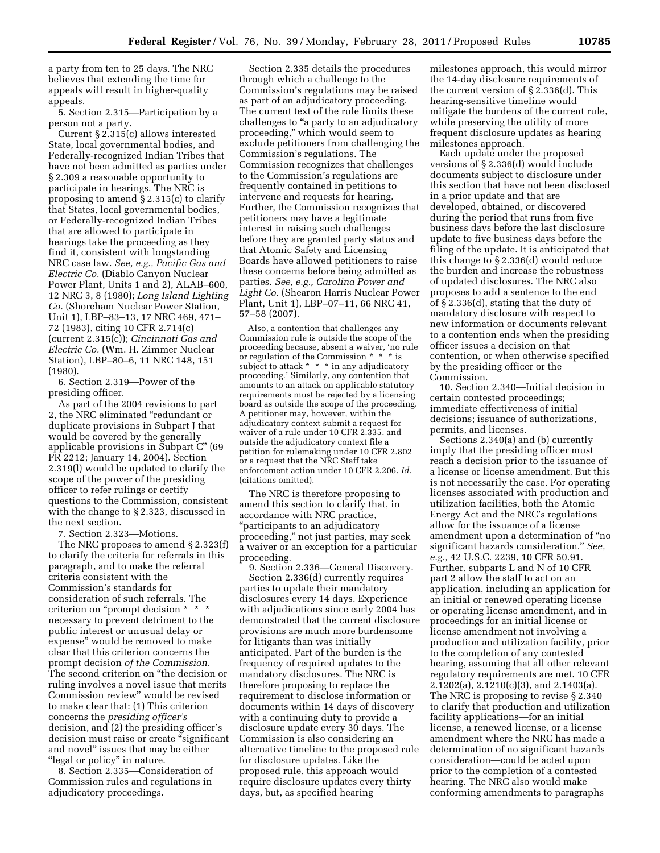a party from ten to 25 days. The NRC believes that extending the time for appeals will result in higher-quality appeals.

5. Section 2.315—Participation by a person not a party.

Current § 2.315(c) allows interested State, local governmental bodies, and Federally-recognized Indian Tribes that have not been admitted as parties under § 2.309 a reasonable opportunity to participate in hearings. The NRC is proposing to amend § 2.315(c) to clarify that States, local governmental bodies, or Federally-recognized Indian Tribes that are allowed to participate in hearings take the proceeding as they find it, consistent with longstanding NRC case law. *See, e.g., Pacific Gas and Electric Co.* (Diablo Canyon Nuclear Power Plant, Units 1 and 2), ALAB–600, 12 NRC 3, 8 (1980); *Long Island Lighting Co.* (Shoreham Nuclear Power Station, Unit 1), LBP–83–13, 17 NRC 469, 471– 72 (1983), citing 10 CFR 2.714(c) (current 2.315(c)); *Cincinnati Gas and Electric Co.* (Wm. H. Zimmer Nuclear Station), LBP–80–6, 11 NRC 148, 151 (1980).

6. Section 2.319—Power of the presiding officer.

As part of the 2004 revisions to part 2, the NRC eliminated ''redundant or duplicate provisions in Subpart J that would be covered by the generally applicable provisions in Subpart C'' (69 FR 2212; January 14, 2004). Section 2.319(l) would be updated to clarify the scope of the power of the presiding officer to refer rulings or certify questions to the Commission, consistent with the change to § 2.323, discussed in the next section.

7. Section 2.323—Motions.

The NRC proposes to amend § 2.323(f) to clarify the criteria for referrals in this paragraph, and to make the referral criteria consistent with the Commission's standards for consideration of such referrals. The criterion on ''prompt decision \* \* \* necessary to prevent detriment to the public interest or unusual delay or expense'' would be removed to make clear that this criterion concerns the prompt decision *of the Commission.*  The second criterion on ''the decision or ruling involves a novel issue that merits Commission review'' would be revised to make clear that: (1) This criterion concerns the *presiding officer's*  decision, and (2) the presiding officer's decision must raise or create ''significant and novel'' issues that may be either "legal or policy" in nature.

8. Section 2.335—Consideration of Commission rules and regulations in adjudicatory proceedings.

Section 2.335 details the procedures through which a challenge to the Commission's regulations may be raised as part of an adjudicatory proceeding. The current text of the rule limits these challenges to ''a party to an adjudicatory proceeding,'' which would seem to exclude petitioners from challenging the Commission's regulations. The Commission recognizes that challenges to the Commission's regulations are frequently contained in petitions to intervene and requests for hearing. Further, the Commission recognizes that petitioners may have a legitimate interest in raising such challenges before they are granted party status and that Atomic Safety and Licensing Boards have allowed petitioners to raise these concerns before being admitted as parties. *See, e.g., Carolina Power and Light Co.* (Shearon Harris Nuclear Power Plant, Unit 1), LBP–07–11, 66 NRC 41, 57–58 (2007).

Also, a contention that challenges any Commission rule is outside the scope of the proceeding because, absent a waiver, 'no rule or regulation of the Commission \* \* \* is subject to attack \* \* \* in any adjudicatory proceeding.' Similarly, any contention that amounts to an attack on applicable statutory requirements must be rejected by a licensing board as outside the scope of the proceeding. A petitioner may, however, within the adjudicatory context submit a request for waiver of a rule under 10 CFR 2.335, and outside the adjudicatory context file a petition for rulemaking under 10 CFR 2.802 or a request that the NRC Staff take enforcement action under 10 CFR 2.206. *Id.*  (citations omitted).

The NRC is therefore proposing to amend this section to clarify that, in accordance with NRC practice, ''participants to an adjudicatory proceeding,'' not just parties, may seek a waiver or an exception for a particular proceeding.

9. Section 2.336—General Discovery. Section 2.336(d) currently requires parties to update their mandatory disclosures every 14 days. Experience with adjudications since early 2004 has demonstrated that the current disclosure provisions are much more burdensome for litigants than was initially anticipated. Part of the burden is the frequency of required updates to the mandatory disclosures. The NRC is therefore proposing to replace the requirement to disclose information or documents within 14 days of discovery with a continuing duty to provide a disclosure update every 30 days. The Commission is also considering an alternative timeline to the proposed rule for disclosure updates. Like the proposed rule, this approach would require disclosure updates every thirty days, but, as specified hearing

milestones approach, this would mirror the 14-day disclosure requirements of the current version of § 2.336(d). This hearing-sensitive timeline would mitigate the burdens of the current rule, while preserving the utility of more frequent disclosure updates as hearing milestones approach.

Each update under the proposed versions of § 2.336(d) would include documents subject to disclosure under this section that have not been disclosed in a prior update and that are developed, obtained, or discovered during the period that runs from five business days before the last disclosure update to five business days before the filing of the update. It is anticipated that this change to § 2.336(d) would reduce the burden and increase the robustness of updated disclosures. The NRC also proposes to add a sentence to the end of § 2.336(d), stating that the duty of mandatory disclosure with respect to new information or documents relevant to a contention ends when the presiding officer issues a decision on that contention, or when otherwise specified by the presiding officer or the Commission.

10. Section 2.340—Initial decision in certain contested proceedings; immediate effectiveness of initial decisions; issuance of authorizations, permits, and licenses.

Sections 2.340(a) and (b) currently imply that the presiding officer must reach a decision prior to the issuance of a license or license amendment. But this is not necessarily the case. For operating licenses associated with production and utilization facilities, both the Atomic Energy Act and the NRC's regulations allow for the issuance of a license amendment upon a determination of ''no significant hazards consideration.'' *See, e.g.,* 42 U.S.C. 2239, 10 CFR 50.91. Further, subparts L and N of 10 CFR part 2 allow the staff to act on an application, including an application for an initial or renewed operating license or operating license amendment, and in proceedings for an initial license or license amendment not involving a production and utilization facility, prior to the completion of any contested hearing, assuming that all other relevant regulatory requirements are met. 10 CFR 2.1202(a), 2.1210(c)(3), and 2.1403(a). The NRC is proposing to revise § 2.340 to clarify that production and utilization facility applications—for an initial license, a renewed license, or a license amendment where the NRC has made a determination of no significant hazards consideration—could be acted upon prior to the completion of a contested hearing. The NRC also would make conforming amendments to paragraphs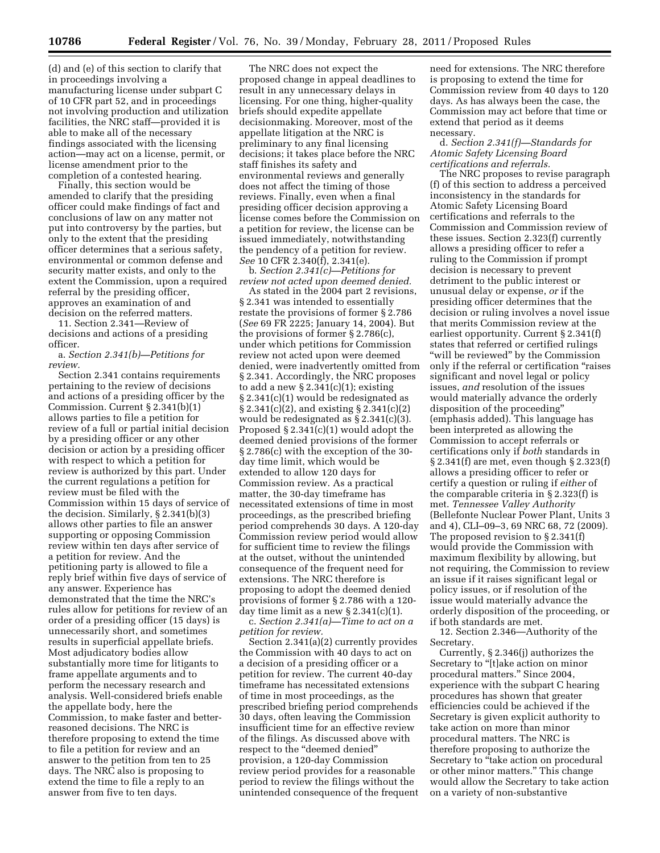(d) and (e) of this section to clarify that in proceedings involving a manufacturing license under subpart C of 10 CFR part 52, and in proceedings not involving production and utilization facilities, the NRC staff—provided it is able to make all of the necessary findings associated with the licensing action—may act on a license, permit, or license amendment prior to the completion of a contested hearing.

Finally, this section would be amended to clarify that the presiding officer could make findings of fact and conclusions of law on any matter not put into controversy by the parties, but only to the extent that the presiding officer determines that a serious safety, environmental or common defense and security matter exists, and only to the extent the Commission, upon a required referral by the presiding officer, approves an examination of and decision on the referred matters.

11. Section 2.341—Review of decisions and actions of a presiding officer.

a. *Section 2.341(b)—Petitions for review.* 

Section 2.341 contains requirements pertaining to the review of decisions and actions of a presiding officer by the Commission. Current § 2.341(b)(1) allows parties to file a petition for review of a full or partial initial decision by a presiding officer or any other decision or action by a presiding officer with respect to which a petition for review is authorized by this part. Under the current regulations a petition for review must be filed with the Commission within 15 days of service of the decision. Similarly, § 2.341(b)(3) allows other parties to file an answer supporting or opposing Commission review within ten days after service of a petition for review. And the petitioning party is allowed to file a reply brief within five days of service of any answer. Experience has demonstrated that the time the NRC's rules allow for petitions for review of an order of a presiding officer (15 days) is unnecessarily short, and sometimes results in superficial appellate briefs. Most adjudicatory bodies allow substantially more time for litigants to frame appellate arguments and to perform the necessary research and analysis. Well-considered briefs enable the appellate body, here the Commission, to make faster and betterreasoned decisions. The NRC is therefore proposing to extend the time to file a petition for review and an answer to the petition from ten to 25 days. The NRC also is proposing to extend the time to file a reply to an answer from five to ten days.

The NRC does not expect the proposed change in appeal deadlines to result in any unnecessary delays in licensing. For one thing, higher-quality briefs should expedite appellate decisionmaking. Moreover, most of the appellate litigation at the NRC is preliminary to any final licensing decisions; it takes place before the NRC staff finishes its safety and environmental reviews and generally does not affect the timing of those reviews. Finally, even when a final presiding officer decision approving a license comes before the Commission on a petition for review, the license can be issued immediately, notwithstanding the pendency of a petition for review. *See* 10 CFR 2.340(f), 2.341(e).

b. *Section 2.341(c)—Petitions for review not acted upon deemed denied.* 

As stated in the 2004 part 2 revisions, § 2.341 was intended to essentially restate the provisions of former § 2.786 (*See* 69 FR 2225; January 14, 2004). But the provisions of former § 2.786(c), under which petitions for Commission review not acted upon were deemed denied, were inadvertently omitted from § 2.341. Accordingly, the NRC proposes to add a new  $\S 2.341(c)(1)$ ; existing § 2.341(c)(1) would be redesignated as § 2.341(c)(2), and existing § 2.341(c)(2) would be redesignated as § 2.341(c)(3). Proposed § 2.341(c)(1) would adopt the deemed denied provisions of the former § 2.786(c) with the exception of the 30 day time limit, which would be extended to allow 120 days for Commission review. As a practical matter, the 30-day timeframe has necessitated extensions of time in most proceedings, as the prescribed briefing period comprehends 30 days. A 120-day Commission review period would allow for sufficient time to review the filings at the outset, without the unintended consequence of the frequent need for extensions. The NRC therefore is proposing to adopt the deemed denied provisions of former § 2.786 with a 120 day time limit as a new  $\S 2.341(c)(1)$ .

c. *Section 2.341(a)—Time to act on a petition for review.* 

Section 2.341(a)(2) currently provides the Commission with 40 days to act on a decision of a presiding officer or a petition for review. The current 40-day timeframe has necessitated extensions of time in most proceedings, as the prescribed briefing period comprehends 30 days, often leaving the Commission insufficient time for an effective review of the filings. As discussed above with respect to the "deemed denied" provision, a 120-day Commission review period provides for a reasonable period to review the filings without the unintended consequence of the frequent

need for extensions. The NRC therefore is proposing to extend the time for Commission review from 40 days to 120 days. As has always been the case, the Commission may act before that time or extend that period as it deems necessary.

d. *Section 2.341(f)—Standards for Atomic Safety Licensing Board certifications and referrals.* 

The NRC proposes to revise paragraph (f) of this section to address a perceived inconsistency in the standards for Atomic Safety Licensing Board certifications and referrals to the Commission and Commission review of these issues. Section 2.323(f) currently allows a presiding officer to refer a ruling to the Commission if prompt decision is necessary to prevent detriment to the public interest or unusual delay or expense, *or* if the presiding officer determines that the decision or ruling involves a novel issue that merits Commission review at the earliest opportunity. Current § 2.341(f) states that referred or certified rulings "will be reviewed" by the Commission only if the referral or certification "raises significant and novel legal or policy issues, *and* resolution of the issues would materially advance the orderly disposition of the proceeding'' (emphasis added). This language has been interpreted as allowing the Commission to accept referrals or certifications only if *both* standards in § 2.341(f) are met, even though § 2.323(f) allows a presiding officer to refer or certify a question or ruling if *either* of the comparable criteria in § 2.323(f) is met. *Tennessee Valley Authority*  (Bellefonte Nuclear Power Plant, Units 3 and 4), CLI–09–3, 69 NRC 68, 72 (2009). The proposed revision to § 2.341(f) would provide the Commission with maximum flexibility by allowing, but not requiring, the Commission to review an issue if it raises significant legal or policy issues, or if resolution of the issue would materially advance the orderly disposition of the proceeding, or if both standards are met.

12. Section 2.346—Authority of the Secretary.

Currently, § 2.346(j) authorizes the Secretary to "[t]ake action on minor procedural matters.'' Since 2004, experience with the subpart C hearing procedures has shown that greater efficiencies could be achieved if the Secretary is given explicit authority to take action on more than minor procedural matters. The NRC is therefore proposing to authorize the Secretary to "take action on procedural or other minor matters.'' This change would allow the Secretary to take action on a variety of non-substantive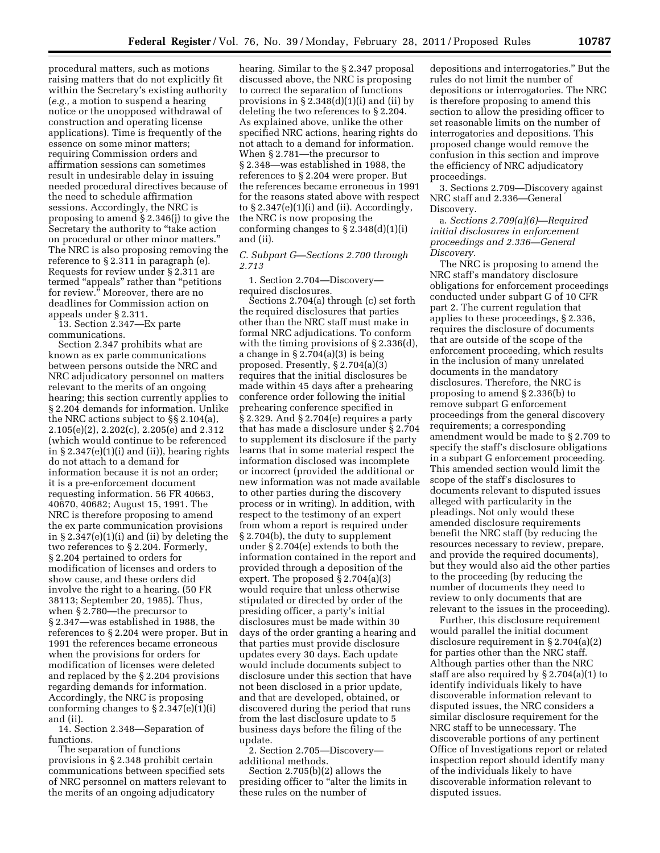procedural matters, such as motions raising matters that do not explicitly fit within the Secretary's existing authority (*e.g.,* a motion to suspend a hearing notice or the unopposed withdrawal of construction and operating license applications). Time is frequently of the essence on some minor matters; requiring Commission orders and affirmation sessions can sometimes result in undesirable delay in issuing needed procedural directives because of the need to schedule affirmation sessions. Accordingly, the NRC is proposing to amend § 2.346(j) to give the Secretary the authority to "take action" on procedural or other minor matters.'' The NRC is also proposing removing the reference to § 2.311 in paragraph (e). Requests for review under § 2.311 are termed "appeals" rather than "petitions for review." Moreover, there are no deadlines for Commission action on appeals under § 2.311.

13. Section 2.347—Ex parte communications.

Section 2.347 prohibits what are known as ex parte communications between persons outside the NRC and NRC adjudicatory personnel on matters relevant to the merits of an ongoing hearing; this section currently applies to § 2.204 demands for information. Unlike the NRC actions subject to §§ 2.104(a), 2.105(e)(2), 2.202(c), 2.205(e) and 2.312 (which would continue to be referenced in  $\S 2.347(e)(1)(i)$  and (ii)), hearing rights do not attach to a demand for information because it is not an order; it is a pre-enforcement document requesting information. 56 FR 40663, 40670, 40682; August 15, 1991. The NRC is therefore proposing to amend the ex parte communication provisions in § 2.347(e)(1)(i) and (ii) by deleting the two references to § 2.204. Formerly, § 2.204 pertained to orders for modification of licenses and orders to show cause, and these orders did involve the right to a hearing. (50 FR 38113; September 20, 1985). Thus, when § 2.780—the precursor to § 2.347—was established in 1988, the references to § 2.204 were proper. But in 1991 the references became erroneous when the provisions for orders for modification of licenses were deleted and replaced by the § 2.204 provisions regarding demands for information. Accordingly, the NRC is proposing conforming changes to  $\S 2.347(e)(1)(i)$ and (ii).

14. Section 2.348—Separation of functions.

The separation of functions provisions in § 2.348 prohibit certain communications between specified sets of NRC personnel on matters relevant to the merits of an ongoing adjudicatory

hearing. Similar to the § 2.347 proposal discussed above, the NRC is proposing to correct the separation of functions provisions in  $\S 2.348(d)(1)(i)$  and (ii) by deleting the two references to § 2.204. As explained above, unlike the other specified NRC actions, hearing rights do not attach to a demand for information. When § 2.781—the precursor to § 2.348—was established in 1988, the references to § 2.204 were proper. But the references became erroneous in 1991 for the reasons stated above with respect to  $\S 2.347(e)(1)(i)$  and (ii). Accordingly, the NRC is now proposing the conforming changes to  $\S 2.348(d)(1)(i)$ and (ii).

*C. Subpart G—Sections 2.700 through 2.713* 

1. Section 2.704—Discovery required disclosures.

Sections 2.704(a) through (c) set forth the required disclosures that parties other than the NRC staff must make in formal NRC adjudications. To conform with the timing provisions of § 2.336(d), a change in  $\S 2.704(a)(3)$  is being proposed. Presently, § 2.704(a)(3) requires that the initial disclosures be made within 45 days after a prehearing conference order following the initial prehearing conference specified in § 2.329. And § 2.704(e) requires a party that has made a disclosure under § 2.704 to supplement its disclosure if the party learns that in some material respect the information disclosed was incomplete or incorrect (provided the additional or new information was not made available to other parties during the discovery process or in writing). In addition, with respect to the testimony of an expert from whom a report is required under § 2.704(b), the duty to supplement under § 2.704(e) extends to both the information contained in the report and provided through a deposition of the expert. The proposed § 2.704(a)(3) would require that unless otherwise stipulated or directed by order of the presiding officer, a party's initial disclosures must be made within 30 days of the order granting a hearing and that parties must provide disclosure updates every 30 days. Each update would include documents subject to disclosure under this section that have not been disclosed in a prior update, and that are developed, obtained, or discovered during the period that runs from the last disclosure update to 5 business days before the filing of the update.

2. Section 2.705—Discovery additional methods.

Section 2.705(b)(2) allows the presiding officer to ''alter the limits in these rules on the number of

depositions and interrogatories.'' But the rules do not limit the number of depositions or interrogatories. The NRC is therefore proposing to amend this section to allow the presiding officer to set reasonable limits on the number of interrogatories and depositions. This proposed change would remove the confusion in this section and improve the efficiency of NRC adjudicatory proceedings.

3. Sections 2.709—Discovery against NRC staff and 2.336—General Discovery.

a. *Sections 2.709(a)(6)—Required initial disclosures in enforcement proceedings and 2.336—General Discovery.* 

The NRC is proposing to amend the NRC staff's mandatory disclosure obligations for enforcement proceedings conducted under subpart G of 10 CFR part 2. The current regulation that applies to these proceedings, § 2.336, requires the disclosure of documents that are outside of the scope of the enforcement proceeding, which results in the inclusion of many unrelated documents in the mandatory disclosures. Therefore, the NRC is proposing to amend § 2.336(b) to remove subpart G enforcement proceedings from the general discovery requirements; a corresponding amendment would be made to § 2.709 to specify the staff's disclosure obligations in a subpart G enforcement proceeding. This amended section would limit the scope of the staff's disclosures to documents relevant to disputed issues alleged with particularity in the pleadings. Not only would these amended disclosure requirements benefit the NRC staff (by reducing the resources necessary to review, prepare, and provide the required documents), but they would also aid the other parties to the proceeding (by reducing the number of documents they need to review to only documents that are relevant to the issues in the proceeding).

Further, this disclosure requirement would parallel the initial document disclosure requirement in § 2.704(a)(2) for parties other than the NRC staff. Although parties other than the NRC staff are also required by § 2.704(a)(1) to identify individuals likely to have discoverable information relevant to disputed issues, the NRC considers a similar disclosure requirement for the NRC staff to be unnecessary. The discoverable portions of any pertinent Office of Investigations report or related inspection report should identify many of the individuals likely to have discoverable information relevant to disputed issues.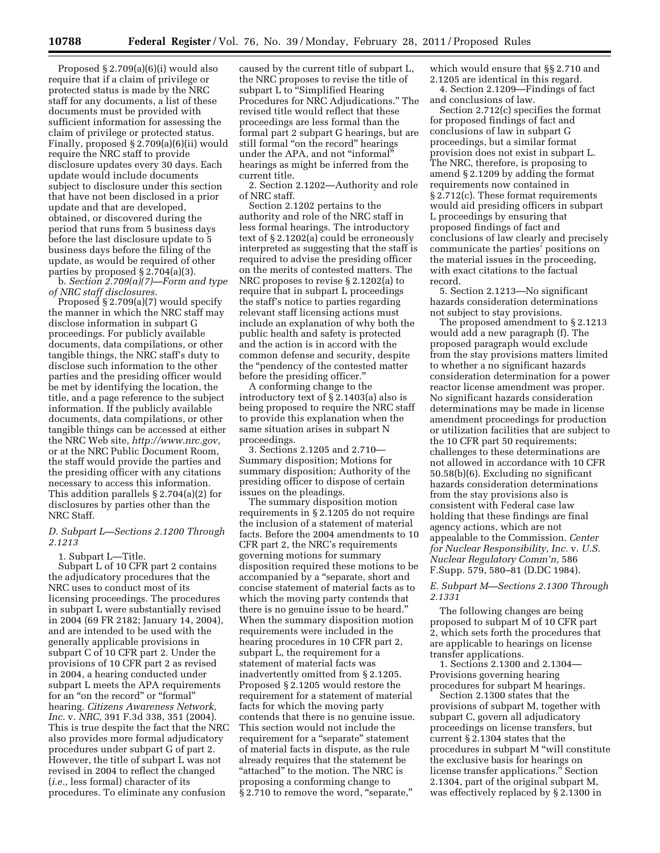Proposed § 2.709(a)(6)(i) would also require that if a claim of privilege or protected status is made by the NRC staff for any documents, a list of these documents must be provided with sufficient information for assessing the claim of privilege or protected status. Finally, proposed § 2.709(a)(6)(ii) would require the NRC staff to provide disclosure updates every 30 days. Each update would include documents subject to disclosure under this section that have not been disclosed in a prior update and that are developed, obtained, or discovered during the period that runs from 5 business days before the last disclosure update to 5 business days before the filing of the update, as would be required of other parties by proposed § 2.704(a)(3).

b. *Section 2.709(a)(7)—Form and type of NRC staff disclosures.* 

Proposed § 2.709(a)(7) would specify the manner in which the NRC staff may disclose information in subpart G proceedings. For publicly available documents, data compilations, or other tangible things, the NRC staff's duty to disclose such information to the other parties and the presiding officer would be met by identifying the location, the title, and a page reference to the subject information. If the publicly available documents, data compilations, or other tangible things can be accessed at either the NRC Web site, *[http://www.nrc.gov,](http://www.nrc.gov)*  or at the NRC Public Document Room, the staff would provide the parties and the presiding officer with any citations necessary to access this information. This addition parallels § 2.704(a)(2) for disclosures by parties other than the NRC Staff.

# *D. Subpart L—Sections 2.1200 Through 2.1213*

1. Subpart L—Title.

Subpart L of 10 CFR part 2 contains the adjudicatory procedures that the NRC uses to conduct most of its licensing proceedings. The procedures in subpart L were substantially revised in 2004 (69 FR 2182; January 14, 2004), and are intended to be used with the generally applicable provisions in subpart C of 10 CFR part 2. Under the provisions of 10 CFR part 2 as revised in 2004, a hearing conducted under subpart L meets the APA requirements for an "on the record" or "formal" hearing. *Citizens Awareness Network, Inc.* v. *NRC,* 391 F.3d 338, 351 (2004). This is true despite the fact that the NRC also provides more formal adjudicatory procedures under subpart G of part 2. However, the title of subpart L was not revised in 2004 to reflect the changed (*i.e.,* less formal) character of its procedures. To eliminate any confusion

caused by the current title of subpart L, the NRC proposes to revise the title of subpart L to "Simplified Hearing Procedures for NRC Adjudications.'' The revised title would reflect that these proceedings are less formal than the formal part 2 subpart G hearings, but are still formal "on the record" hearings under the APA, and not ''informal'' hearings as might be inferred from the current title.

2. Section 2.1202—Authority and role of NRC staff.

Section 2.1202 pertains to the authority and role of the NRC staff in less formal hearings. The introductory text of § 2.1202(a) could be erroneously interpreted as suggesting that the staff is required to advise the presiding officer on the merits of contested matters. The NRC proposes to revise § 2.1202(a) to require that in subpart L proceedings the staff's notice to parties regarding relevant staff licensing actions must include an explanation of why both the public health and safety is protected and the action is in accord with the common defense and security, despite the ''pendency of the contested matter before the presiding officer.''

A conforming change to the introductory text of § 2.1403(a) also is being proposed to require the NRC staff to provide this explanation when the same situation arises in subpart N proceedings.

3. Sections 2.1205 and 2.710— Summary disposition; Motions for summary disposition; Authority of the presiding officer to dispose of certain issues on the pleadings.

The summary disposition motion requirements in § 2.1205 do not require the inclusion of a statement of material facts. Before the 2004 amendments to 10 CFR part 2, the NRC's requirements governing motions for summary disposition required these motions to be accompanied by a ''separate, short and concise statement of material facts as to which the moving party contends that there is no genuine issue to be heard.'' When the summary disposition motion requirements were included in the hearing procedures in 10 CFR part 2, subpart L, the requirement for a statement of material facts was inadvertently omitted from § 2.1205. Proposed § 2.1205 would restore the requirement for a statement of material facts for which the moving party contends that there is no genuine issue. This section would not include the requirement for a ''separate'' statement of material facts in dispute, as the rule already requires that the statement be "attached" to the motion. The NRC is proposing a conforming change to § 2.710 to remove the word, "separate,"

which would ensure that §§ 2.710 and 2.1205 are identical in this regard.

4. Section 2.1209—Findings of fact and conclusions of law.

Section 2.712(c) specifies the format for proposed findings of fact and conclusions of law in subpart G proceedings, but a similar format provision does not exist in subpart L. The NRC, therefore, is proposing to amend § 2.1209 by adding the format requirements now contained in § 2.712(c). These format requirements would aid presiding officers in subpart L proceedings by ensuring that proposed findings of fact and conclusions of law clearly and precisely communicate the parties' positions on the material issues in the proceeding, with exact citations to the factual record.

5. Section 2.1213—No significant hazards consideration determinations not subject to stay provisions.

The proposed amendment to § 2.1213 would add a new paragraph (f). The proposed paragraph would exclude from the stay provisions matters limited to whether a no significant hazards consideration determination for a power reactor license amendment was proper. No significant hazards consideration determinations may be made in license amendment proceedings for production or utilization facilities that are subject to the 10 CFR part 50 requirements; challenges to these determinations are not allowed in accordance with 10 CFR 50.58(b)(6). Excluding no significant hazards consideration determinations from the stay provisions also is consistent with Federal case law holding that these findings are final agency actions, which are not appealable to the Commission. *Center for Nuclear Responsibility, Inc.* v. *U.S. Nuclear Regulatory Comm'n,* 586 F.Supp. 579, 580–81 (D.DC 1984).

*E. Subpart M—Sections 2.1300 Through 2.1331* 

The following changes are being proposed to subpart M of 10 CFR part 2, which sets forth the procedures that are applicable to hearings on license transfer applications.

1. Sections 2.1300 and 2.1304— Provisions governing hearing procedures for subpart M hearings.

Section 2.1300 states that the provisions of subpart M, together with subpart C, govern all adjudicatory proceedings on license transfers, but current § 2.1304 states that the procedures in subpart M ''will constitute the exclusive basis for hearings on license transfer applications.'' Section 2.1304, part of the original subpart M, was effectively replaced by § 2.1300 in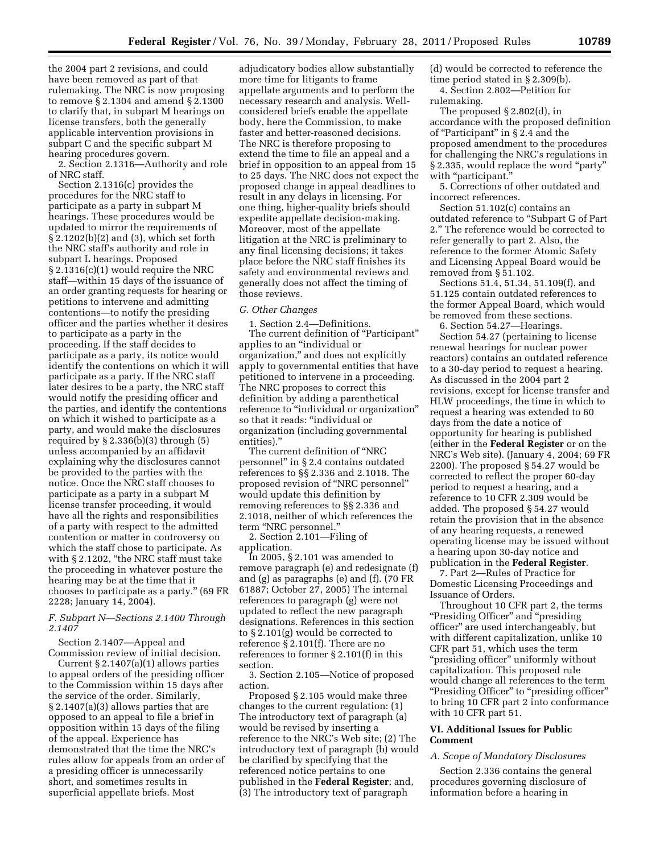the 2004 part 2 revisions, and could have been removed as part of that rulemaking. The NRC is now proposing to remove § 2.1304 and amend § 2.1300 to clarify that, in subpart M hearings on license transfers, both the generally applicable intervention provisions in subpart C and the specific subpart M hearing procedures govern.

2. Section 2.1316—Authority and role of NRC staff.

Section 2.1316(c) provides the procedures for the NRC staff to participate as a party in subpart M hearings. These procedures would be updated to mirror the requirements of § 2.1202(b)(2) and (3), which set forth the NRC staff's authority and role in subpart L hearings. Proposed § 2.1316(c)(1) would require the NRC staff—within 15 days of the issuance of an order granting requests for hearing or petitions to intervene and admitting contentions—to notify the presiding officer and the parties whether it desires to participate as a party in the proceeding. If the staff decides to participate as a party, its notice would identify the contentions on which it will participate as a party. If the NRC staff later desires to be a party, the NRC staff would notify the presiding officer and the parties, and identify the contentions on which it wished to participate as a party, and would make the disclosures required by  $\S 2.336(b)(3)$  through  $(5)$ unless accompanied by an affidavit explaining why the disclosures cannot be provided to the parties with the notice. Once the NRC staff chooses to participate as a party in a subpart M license transfer proceeding, it would have all the rights and responsibilities of a party with respect to the admitted contention or matter in controversy on which the staff chose to participate. As with § 2.1202, "the NRC staff must take the proceeding in whatever posture the hearing may be at the time that it chooses to participate as a party.'' (69 FR 2228; January 14, 2004).

# *F. Subpart N—Sections 2.1400 Through 2.1407*

Section 2.1407—Appeal and Commission review of initial decision.

Current  $\S 2.1407(a)(1)$  allows parties to appeal orders of the presiding officer to the Commission within 15 days after the service of the order. Similarly, § 2.1407(a)(3) allows parties that are opposed to an appeal to file a brief in opposition within 15 days of the filing of the appeal. Experience has demonstrated that the time the NRC's rules allow for appeals from an order of a presiding officer is unnecessarily short, and sometimes results in superficial appellate briefs. Most

adjudicatory bodies allow substantially more time for litigants to frame appellate arguments and to perform the necessary research and analysis. Wellconsidered briefs enable the appellate body, here the Commission, to make faster and better-reasoned decisions. The NRC is therefore proposing to extend the time to file an appeal and a brief in opposition to an appeal from 15 to 25 days. The NRC does not expect the proposed change in appeal deadlines to result in any delays in licensing. For one thing, higher-quality briefs should expedite appellate decision-making. Moreover, most of the appellate litigation at the NRC is preliminary to any final licensing decisions; it takes place before the NRC staff finishes its safety and environmental reviews and generally does not affect the timing of those reviews.

#### *G. Other Changes*

1. Section 2.4—Definitions. The current definition of "Participant" applies to an ''individual or organization,'' and does not explicitly apply to governmental entities that have petitioned to intervene in a proceeding. The NRC proposes to correct this definition by adding a parenthetical reference to "individual or organization" so that it reads: ''individual or organization (including governmental entities).''

The current definition of ''NRC personnel'' in § 2.4 contains outdated references to §§ 2.336 and 2.1018. The proposed revision of ''NRC personnel'' would update this definition by removing references to §§ 2.336 and 2.1018, neither of which references the term ''NRC personnel.''

2. Section 2.101—Filing of application.

In 2005, § 2.101 was amended to remove paragraph (e) and redesignate (f) and (g) as paragraphs (e) and (f). (70 FR 61887; October 27, 2005) The internal references to paragraph (g) were not updated to reflect the new paragraph designations. References in this section to § 2.101(g) would be corrected to reference § 2.101(f). There are no references to former § 2.101(f) in this section.

3. Section 2.105—Notice of proposed action.

Proposed § 2.105 would make three changes to the current regulation: (1) The introductory text of paragraph (a) would be revised by inserting a reference to the NRC's Web site; (2) The introductory text of paragraph (b) would be clarified by specifying that the referenced notice pertains to one published in the **Federal Register**; and, (3) The introductory text of paragraph

(d) would be corrected to reference the time period stated in § 2.309(b).

4. Section 2.802—Petition for rulemaking.

The proposed § 2.802(d), in accordance with the proposed definition of "Participant" in §2.4 and the proposed amendment to the procedures for challenging the NRC's regulations in § 2.335, would replace the word ''party'' with "participant.'

5. Corrections of other outdated and incorrect references.

Section 51.102(c) contains an outdated reference to ''Subpart G of Part 2.'' The reference would be corrected to refer generally to part 2. Also, the reference to the former Atomic Safety and Licensing Appeal Board would be removed from § 51.102.

Sections 51.4, 51.34, 51.109(f), and 51.125 contain outdated references to the former Appeal Board, which would be removed from these sections.

6. Section 54.27—Hearings.

Section 54.27 (pertaining to license renewal hearings for nuclear power reactors) contains an outdated reference to a 30-day period to request a hearing. As discussed in the 2004 part 2 revisions, except for license transfer and HLW proceedings, the time in which to request a hearing was extended to 60 days from the date a notice of opportunity for hearing is published (either in the **Federal Register** or on the NRC's Web site). (January 4, 2004; 69 FR 2200). The proposed § 54.27 would be corrected to reflect the proper 60-day period to request a hearing, and a reference to 10 CFR 2.309 would be added. The proposed § 54.27 would retain the provision that in the absence of any hearing requests, a renewed operating license may be issued without a hearing upon 30-day notice and publication in the **Federal Register**.

7. Part 2—Rules of Practice for Domestic Licensing Proceedings and Issuance of Orders.

Throughout 10 CFR part 2, the terms ''Presiding Officer'' and ''presiding officer'' are used interchangeably, but with different capitalization, unlike 10 CFR part 51, which uses the term ''presiding officer'' uniformly without capitalization. This proposed rule would change all references to the term "Presiding Officer" to "presiding officer" to bring 10 CFR part 2 into conformance with 10 CFR part 51.

# **VI. Additional Issues for Public Comment**

# *A. Scope of Mandatory Disclosures*

Section 2.336 contains the general procedures governing disclosure of information before a hearing in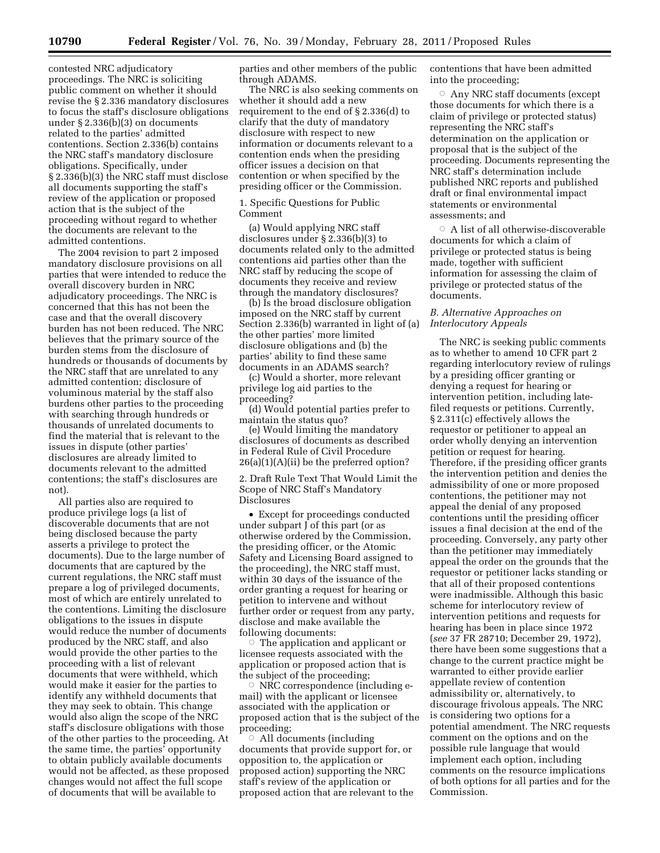contested NRC adjudicatory proceedings. The NRC is soliciting public comment on whether it should revise the § 2.336 mandatory disclosures to focus the staff's disclosure obligations under § 2.336(b)(3) on documents related to the parties' admitted contentions. Section 2.336(b) contains the NRC staff's mandatory disclosure obligations. Specifically, under § 2.336(b)(3) the NRC staff must disclose all documents supporting the staff's review of the application or proposed action that is the subject of the proceeding without regard to whether the documents are relevant to the admitted contentions.

The 2004 revision to part 2 imposed mandatory disclosure provisions on all parties that were intended to reduce the overall discovery burden in NRC adjudicatory proceedings. The NRC is concerned that this has not been the case and that the overall discovery burden has not been reduced. The NRC believes that the primary source of the burden stems from the disclosure of hundreds or thousands of documents by the NRC staff that are unrelated to any admitted contention; disclosure of voluminous material by the staff also burdens other parties to the proceeding with searching through hundreds or thousands of unrelated documents to find the material that is relevant to the issues in dispute (other parties' disclosures are already limited to documents relevant to the admitted contentions; the staff's disclosures are not).

All parties also are required to produce privilege logs (a list of discoverable documents that are not being disclosed because the party asserts a privilege to protect the documents). Due to the large number of documents that are captured by the current regulations, the NRC staff must prepare a log of privileged documents, most of which are entirely unrelated to the contentions. Limiting the disclosure obligations to the issues in dispute would reduce the number of documents produced by the NRC staff, and also would provide the other parties to the proceeding with a list of relevant documents that were withheld, which would make it easier for the parties to identify any withheld documents that they may seek to obtain. This change would also align the scope of the NRC staff's disclosure obligations with those of the other parties to the proceeding. At the same time, the parties' opportunity to obtain publicly available documents would not be affected, as these proposed changes would not affect the full scope of documents that will be available to

parties and other members of the public through ADAMS.

The NRC is also seeking comments on whether it should add a new requirement to the end of § 2.336(d) to clarify that the duty of mandatory disclosure with respect to new information or documents relevant to a contention ends when the presiding officer issues a decision on that contention or when specified by the presiding officer or the Commission.

1. Specific Questions for Public Comment

(a) Would applying NRC staff disclosures under § 2.336(b)(3) to documents related only to the admitted contentions aid parties other than the NRC staff by reducing the scope of documents they receive and review through the mandatory disclosures?

(b) Is the broad disclosure obligation imposed on the NRC staff by current Section 2.336(b) warranted in light of (a) the other parties' more limited disclosure obligations and (b) the parties' ability to find these same documents in an ADAMS search?

(c) Would a shorter, more relevant privilege log aid parties to the proceeding?

(d) Would potential parties prefer to maintain the status quo?

(e) Would limiting the mandatory disclosures of documents as described in Federal Rule of Civil Procedure 26(a)(1)(A)(ii) be the preferred option?

2. Draft Rule Text That Would Limit the Scope of NRC Staff's Mandatory Disclosures

• Except for proceedings conducted under subpart J of this part (or as otherwise ordered by the Commission, the presiding officer, or the Atomic Safety and Licensing Board assigned to the proceeding), the NRC staff must, within 30 days of the issuance of the order granting a request for hearing or petition to intervene and without further order or request from any party, disclose and make available the following documents:

Æ The application and applicant or licensee requests associated with the application or proposed action that is the subject of the proceeding;

Æ NRC correspondence (including email) with the applicant or licensee associated with the application or proposed action that is the subject of the proceeding;

 $\circ$  All documents (including documents that provide support for, or opposition to, the application or proposed action) supporting the NRC staff's review of the application or proposed action that are relevant to the contentions that have been admitted into the proceeding;

 $\circ$  Any NRC staff documents (except those documents for which there is a claim of privilege or protected status) representing the NRC staff's determination on the application or proposal that is the subject of the proceeding. Documents representing the NRC staff's determination include published NRC reports and published draft or final environmental impact statements or environmental assessments; and

 $\circ$  A list of all otherwise-discoverable documents for which a claim of privilege or protected status is being made, together with sufficient information for assessing the claim of privilege or protected status of the documents.

# *B. Alternative Approaches on Interlocutory Appeals*

The NRC is seeking public comments as to whether to amend 10 CFR part 2 regarding interlocutory review of rulings by a presiding officer granting or denying a request for hearing or intervention petition, including latefiled requests or petitions. Currently, § 2.311(c) effectively allows the requestor or petitioner to appeal an order wholly denying an intervention petition or request for hearing. Therefore, if the presiding officer grants the intervention petition and denies the admissibility of one or more proposed contentions, the petitioner may not appeal the denial of any proposed contentions until the presiding officer issues a final decision at the end of the proceeding. Conversely, any party other than the petitioner may immediately appeal the order on the grounds that the requestor or petitioner lacks standing or that all of their proposed contentions were inadmissible. Although this basic scheme for interlocutory review of intervention petitions and requests for hearing has been in place since 1972 (*see* 37 FR 28710; December 29, 1972), there have been some suggestions that a change to the current practice might be warranted to either provide earlier appellate review of contention admissibility or, alternatively, to discourage frivolous appeals. The NRC is considering two options for a potential amendment. The NRC requests comment on the options and on the possible rule language that would implement each option, including comments on the resource implications of both options for all parties and for the Commission.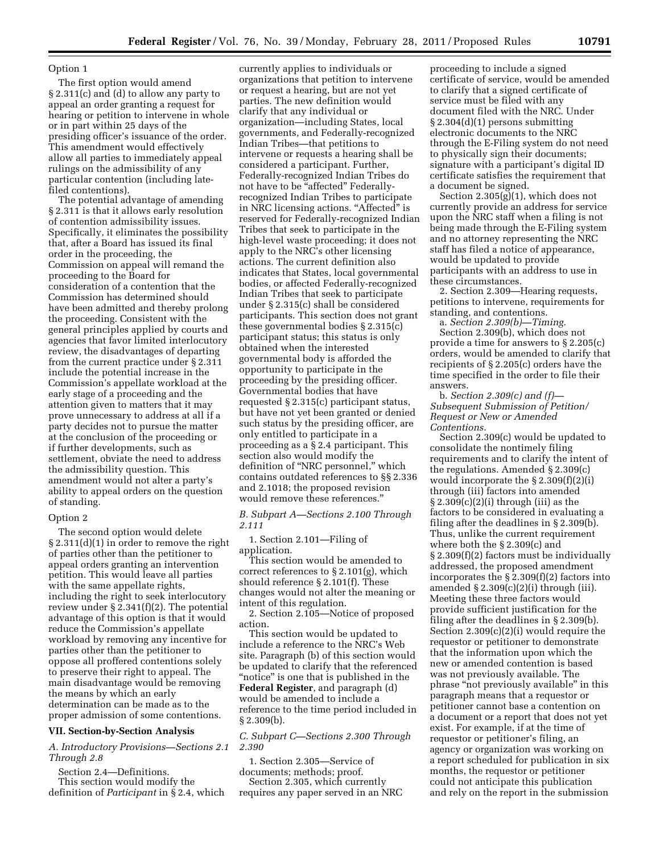The first option would amend § 2.311(c) and (d) to allow any party to appeal an order granting a request for hearing or petition to intervene in whole or in part within 25 days of the presiding officer's issuance of the order. This amendment would effectively allow all parties to immediately appeal rulings on the admissibility of any particular contention (including latefiled contentions).

The potential advantage of amending § 2.311 is that it allows early resolution of contention admissibility issues. Specifically, it eliminates the possibility that, after a Board has issued its final order in the proceeding, the Commission on appeal will remand the proceeding to the Board for consideration of a contention that the Commission has determined should have been admitted and thereby prolong the proceeding. Consistent with the general principles applied by courts and agencies that favor limited interlocutory review, the disadvantages of departing from the current practice under § 2.311 include the potential increase in the Commission's appellate workload at the early stage of a proceeding and the attention given to matters that it may prove unnecessary to address at all if a party decides not to pursue the matter at the conclusion of the proceeding or if further developments, such as settlement, obviate the need to address the admissibility question. This amendment would not alter a party's ability to appeal orders on the question of standing.

## Option 2

The second option would delete § 2.311(d)(1) in order to remove the right of parties other than the petitioner to appeal orders granting an intervention petition. This would leave all parties with the same appellate rights, including the right to seek interlocutory review under § 2.341(f)(2). The potential advantage of this option is that it would reduce the Commission's appellate workload by removing any incentive for parties other than the petitioner to oppose all proffered contentions solely to preserve their right to appeal. The main disadvantage would be removing the means by which an early determination can be made as to the proper admission of some contentions.

## **VII. Section-by-Section Analysis**

# *A. Introductory Provisions—Sections 2.1 Through 2.8*

Section 2.4—Definitions.

This section would modify the definition of *Participant* in § 2.4, which

currently applies to individuals or organizations that petition to intervene or request a hearing, but are not yet parties. The new definition would clarify that any individual or organization—including States, local governments, and Federally-recognized Indian Tribes—that petitions to intervene or requests a hearing shall be considered a participant. Further, Federally-recognized Indian Tribes do not have to be "affected" Federallyrecognized Indian Tribes to participate in NRC licensing actions. "Affected" is reserved for Federally-recognized Indian Tribes that seek to participate in the high-level waste proceeding; it does not apply to the NRC's other licensing actions. The current definition also indicates that States, local governmental bodies, or affected Federally-recognized Indian Tribes that seek to participate under § 2.315(c) shall be considered participants. This section does not grant these governmental bodies § 2.315(c) participant status; this status is only obtained when the interested governmental body is afforded the opportunity to participate in the proceeding by the presiding officer. Governmental bodies that have requested § 2.315(c) participant status, but have not yet been granted or denied such status by the presiding officer, are only entitled to participate in a proceeding as a § 2.4 participant. This section also would modify the definition of ''NRC personnel,'' which contains outdated references to §§ 2.336 and 2.1018; the proposed revision would remove these references.''

*B. Subpart A—Sections 2.100 Through 2.111* 

1. Section 2.101—Filing of application.

This section would be amended to correct references to § 2.101(g), which should reference § 2.101(f). These changes would not alter the meaning or intent of this regulation.

2. Section 2.105—Notice of proposed action.

This section would be updated to include a reference to the NRC's Web site. Paragraph (b) of this section would be updated to clarify that the referenced "notice" is one that is published in the **Federal Register**, and paragraph (d) would be amended to include a reference to the time period included in  $§ 2.309(b).$ 

*C. Subpart C—Sections 2.300 Through 2.390* 

1. Section 2.305—Service of documents; methods; proof. Section 2.305, which currently requires any paper served in an NRC

proceeding to include a signed certificate of service, would be amended to clarify that a signed certificate of service must be filed with any document filed with the NRC. Under § 2.304(d)(1) persons submitting electronic documents to the NRC through the E-Filing system do not need to physically sign their documents; signature with a participant's digital ID certificate satisfies the requirement that a document be signed.

Section 2.305(g)(1), which does not currently provide an address for service upon the NRC staff when a filing is not being made through the E-Filing system and no attorney representing the NRC staff has filed a notice of appearance, would be updated to provide participants with an address to use in these circumstances.

2. Section 2.309—Hearing requests, petitions to intervene, requirements for standing, and contentions.

a. *Section 2.309(b)—Timing.*  Section 2.309(b), which does not provide a time for answers to § 2.205(c) orders, would be amended to clarify that recipients of § 2.205(c) orders have the time specified in the order to file their answers.

b. *Section 2.309(c) and (f)— Subsequent Submission of Petition/ Request or New or Amended Contentions.* 

Section 2.309(c) would be updated to consolidate the nontimely filing requirements and to clarify the intent of the regulations. Amended § 2.309(c) would incorporate the § 2.309(f)(2)(i) through (iii) factors into amended  $\S 2.309(c)(2)(i)$  through (iii) as the factors to be considered in evaluating a filing after the deadlines in § 2.309(b). Thus, unlike the current requirement where both the § 2.309(c) and § 2.309(f)(2) factors must be individually addressed, the proposed amendment incorporates the § 2.309(f)(2) factors into amended  $\S 2.309(c)(2)(i)$  through (iii). Meeting these three factors would provide sufficient justification for the filing after the deadlines in § 2.309(b). Section 2.309(c)(2)(i) would require the requestor or petitioner to demonstrate that the information upon which the new or amended contention is based was not previously available. The phrase ''not previously available'' in this paragraph means that a requestor or petitioner cannot base a contention on a document or a report that does not yet exist. For example, if at the time of requestor or petitioner's filing, an agency or organization was working on a report scheduled for publication in six months, the requestor or petitioner could not anticipate this publication and rely on the report in the submission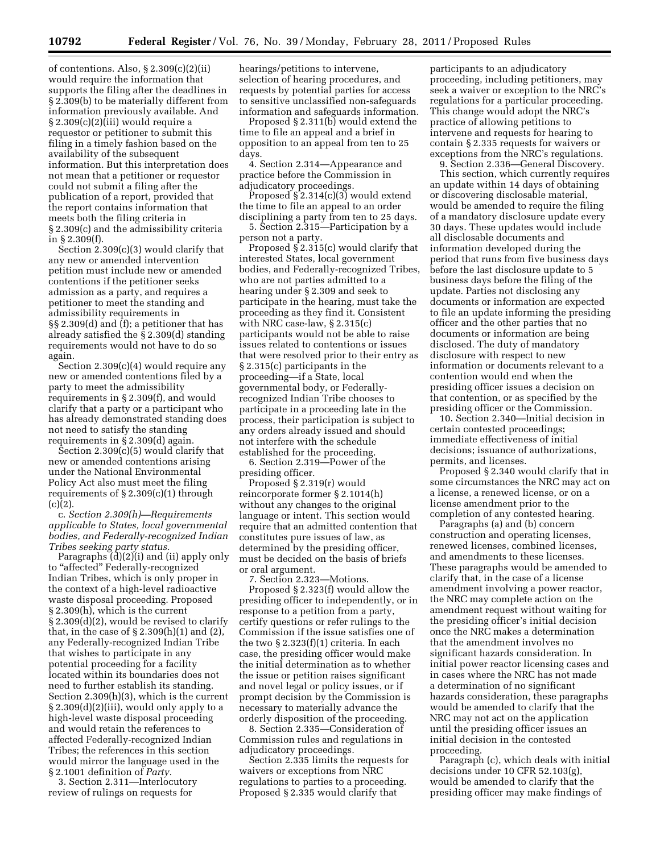of contentions. Also, § 2.309(c)(2)(ii) would require the information that supports the filing after the deadlines in § 2.309(b) to be materially different from information previously available. And § 2.309(c)(2)(iii) would require a requestor or petitioner to submit this filing in a timely fashion based on the availability of the subsequent information. But this interpretation does not mean that a petitioner or requestor could not submit a filing after the publication of a report, provided that the report contains information that meets both the filing criteria in § 2.309(c) and the admissibility criteria in § 2.309(f).

Section 2.309(c)(3) would clarify that any new or amended intervention petition must include new or amended contentions if the petitioner seeks admission as a party, and requires a petitioner to meet the standing and admissibility requirements in §§ 2.309(d) and (f); a petitioner that has already satisfied the § 2.309(d) standing requirements would not have to do so again.

Section 2.309(c)(4) would require any new or amended contentions filed by a party to meet the admissibility requirements in § 2.309(f), and would clarify that a party or a participant who has already demonstrated standing does not need to satisfy the standing requirements in § 2.309(d) again.

Section 2.309(c)(5) would clarify that new or amended contentions arising under the National Environmental Policy Act also must meet the filing requirements of § 2.309(c)(1) through  $(c)(2)$ .

c. *Section 2.309(h)—Requirements applicable to States, local governmental bodies, and Federally-recognized Indian Tribes seeking party status.* 

Paragraphs  $\ddot{d}$  $\ddot{d}$  $\ddot{d}$  $\ddot{d}$  $\ddot{d}$  and  $\ddot{d}$  apply only to "affected" Federally-recognized Indian Tribes, which is only proper in the context of a high-level radioactive waste disposal proceeding. Proposed § 2.309(h), which is the current § 2.309(d)(2), would be revised to clarify that, in the case of  $\S 2.309(h)(1)$  and  $(2)$ , any Federally-recognized Indian Tribe that wishes to participate in any potential proceeding for a facility located within its boundaries does not need to further establish its standing. Section 2.309(h)(3), which is the current  $\S 2.309(d)(2)(iii)$ , would only apply to a high-level waste disposal proceeding and would retain the references to affected Federally-recognized Indian Tribes; the references in this section would mirror the language used in the § 2.1001 definition of *Party.* 

3. Section 2.311—Interlocutory review of rulings on requests for

hearings/petitions to intervene, selection of hearing procedures, and requests by potential parties for access to sensitive unclassified non-safeguards information and safeguards information.

Proposed § 2.311(b) would extend the time to file an appeal and a brief in opposition to an appeal from ten to 25 days.

4. Section 2.314—Appearance and practice before the Commission in adjudicatory proceedings.

Proposed § 2.314(c)(3) would extend the time to file an appeal to an order disciplining a party from ten to 25 days.

5. Section 2.315—Participation by a person not a party.

Proposed  $\S$  2.315(c) would clarify that interested States, local government bodies, and Federally-recognized Tribes, who are not parties admitted to a hearing under § 2.309 and seek to participate in the hearing, must take the proceeding as they find it. Consistent with NRC case-law, § 2.315(c) participants would not be able to raise issues related to contentions or issues that were resolved prior to their entry as § 2.315(c) participants in the proceeding—if a State, local governmental body, or Federallyrecognized Indian Tribe chooses to participate in a proceeding late in the process, their participation is subject to any orders already issued and should not interfere with the schedule established for the proceeding.

6. Section 2.319—Power of the presiding officer.

Proposed § 2.319(r) would reincorporate former § 2.1014(h) without any changes to the original language or intent. This section would require that an admitted contention that constitutes pure issues of law, as determined by the presiding officer, must be decided on the basis of briefs or oral argument.

7. Section 2.323—Motions. Proposed § 2.323(f) would allow the presiding officer to independently, or in response to a petition from a party, certify questions or refer rulings to the Commission if the issue satisfies one of the two § 2.323(f)(1) criteria. In each case, the presiding officer would make the initial determination as to whether the issue or petition raises significant and novel legal or policy issues, or if prompt decision by the Commission is necessary to materially advance the orderly disposition of the proceeding.

8. Section 2.335—Consideration of Commission rules and regulations in adjudicatory proceedings.

Section 2.335 limits the requests for waivers or exceptions from NRC regulations to parties to a proceeding. Proposed § 2.335 would clarify that

participants to an adjudicatory proceeding, including petitioners, may seek a waiver or exception to the NRC's regulations for a particular proceeding. This change would adopt the NRC's practice of allowing petitions to intervene and requests for hearing to contain § 2.335 requests for waivers or exceptions from the NRC's regulations.

9. Section 2.336—General Discovery. This section, which currently requires an update within 14 days of obtaining or discovering disclosable material, would be amended to require the filing of a mandatory disclosure update every 30 days. These updates would include all disclosable documents and information developed during the period that runs from five business days before the last disclosure update to 5 business days before the filing of the update. Parties not disclosing any documents or information are expected to file an update informing the presiding officer and the other parties that no documents or information are being disclosed. The duty of mandatory disclosure with respect to new information or documents relevant to a contention would end when the presiding officer issues a decision on that contention, or as specified by the presiding officer or the Commission.

10. Section 2.340—Initial decision in certain contested proceedings; immediate effectiveness of initial decisions; issuance of authorizations, permits, and licenses.

Proposed § 2.340 would clarify that in some circumstances the NRC may act on a license, a renewed license, or on a license amendment prior to the completion of any contested hearing.

Paragraphs (a) and (b) concern construction and operating licenses, renewed licenses, combined licenses, and amendments to these licenses. These paragraphs would be amended to clarify that, in the case of a license amendment involving a power reactor, the NRC may complete action on the amendment request without waiting for the presiding officer's initial decision once the NRC makes a determination that the amendment involves no significant hazards consideration. In initial power reactor licensing cases and in cases where the NRC has not made a determination of no significant hazards consideration, these paragraphs would be amended to clarify that the NRC may not act on the application until the presiding officer issues an initial decision in the contested proceeding.

Paragraph (c), which deals with initial decisions under 10 CFR 52.103(g), would be amended to clarify that the presiding officer may make findings of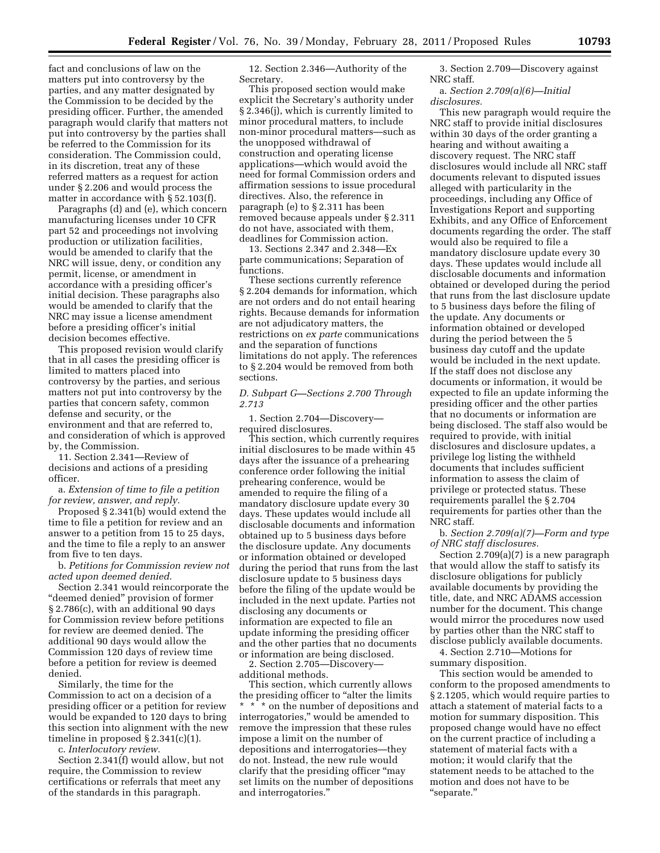fact and conclusions of law on the matters put into controversy by the parties, and any matter designated by the Commission to be decided by the presiding officer. Further, the amended paragraph would clarify that matters not put into controversy by the parties shall be referred to the Commission for its consideration. The Commission could, in its discretion, treat any of these referred matters as a request for action under § 2.206 and would process the matter in accordance with § 52.103(f).

Paragraphs (d) and (e), which concern manufacturing licenses under 10 CFR part 52 and proceedings not involving production or utilization facilities, would be amended to clarify that the NRC will issue, deny, or condition any permit, license, or amendment in accordance with a presiding officer's initial decision. These paragraphs also would be amended to clarify that the NRC may issue a license amendment before a presiding officer's initial decision becomes effective.

This proposed revision would clarify that in all cases the presiding officer is limited to matters placed into controversy by the parties, and serious matters not put into controversy by the parties that concern safety, common defense and security, or the environment and that are referred to, and consideration of which is approved by, the Commission.

11. Section 2.341—Review of decisions and actions of a presiding officer.

a. *Extension of time to file a petition for review, answer, and reply.* 

Proposed § 2.341(b) would extend the time to file a petition for review and an answer to a petition from 15 to 25 days, and the time to file a reply to an answer from five to ten days.

b. *Petitions for Commission review not acted upon deemed denied.* 

Section 2.341 would reincorporate the "deemed denied" provision of former § 2.786(c), with an additional 90 days for Commission review before petitions for review are deemed denied. The additional 90 days would allow the Commission 120 days of review time before a petition for review is deemed denied.

Similarly, the time for the Commission to act on a decision of a presiding officer or a petition for review would be expanded to 120 days to bring this section into alignment with the new timeline in proposed  $\S 2.341(c)(1)$ .

c. *Interlocutory review.* 

Section 2.341(f) would allow, but not require, the Commission to review certifications or referrals that meet any of the standards in this paragraph.

12. Section 2.346—Authority of the Secretary.

This proposed section would make explicit the Secretary's authority under § 2.346(j), which is currently limited to minor procedural matters, to include non-minor procedural matters—such as the unopposed withdrawal of construction and operating license applications—which would avoid the need for formal Commission orders and affirmation sessions to issue procedural directives. Also, the reference in paragraph (e) to § 2.311 has been removed because appeals under § 2.311 do not have, associated with them, deadlines for Commission action.

13. Sections 2.347 and 2.348—Ex parte communications; Separation of functions.

These sections currently reference § 2.204 demands for information, which are not orders and do not entail hearing rights. Because demands for information are not adjudicatory matters, the restrictions on *ex parte* communications and the separation of functions limitations do not apply. The references to § 2.204 would be removed from both sections.

# *D. Subpart G—Sections 2.700 Through 2.713*

1. Section 2.704—Discovery required disclosures.

This section, which currently requires initial disclosures to be made within 45 days after the issuance of a prehearing conference order following the initial prehearing conference, would be amended to require the filing of a mandatory disclosure update every 30 days. These updates would include all disclosable documents and information obtained up to 5 business days before the disclosure update. Any documents or information obtained or developed during the period that runs from the last disclosure update to 5 business days before the filing of the update would be included in the next update. Parties not disclosing any documents or information are expected to file an update informing the presiding officer and the other parties that no documents or information are being disclosed.

2. Section 2.705—Discovery additional methods.

This section, which currently allows the presiding officer to ''alter the limits \* \* \* on the number of depositions and interrogatories,'' would be amended to remove the impression that these rules impose a limit on the number of depositions and interrogatories—they do not. Instead, the new rule would clarify that the presiding officer "may set limits on the number of depositions and interrogatories.''

3. Section 2.709—Discovery against NRC staff.

# a. *Section 2.709(a)(6)—Initial disclosures.*

This new paragraph would require the NRC staff to provide initial disclosures within 30 days of the order granting a hearing and without awaiting a discovery request. The NRC staff disclosures would include all NRC staff documents relevant to disputed issues alleged with particularity in the proceedings, including any Office of Investigations Report and supporting Exhibits, and any Office of Enforcement documents regarding the order. The staff would also be required to file a mandatory disclosure update every 30 days. These updates would include all disclosable documents and information obtained or developed during the period that runs from the last disclosure update to 5 business days before the filing of the update. Any documents or information obtained or developed during the period between the 5 business day cutoff and the update would be included in the next update. If the staff does not disclose any documents or information, it would be expected to file an update informing the presiding officer and the other parties that no documents or information are being disclosed. The staff also would be required to provide, with initial disclosures and disclosure updates, a privilege log listing the withheld documents that includes sufficient information to assess the claim of privilege or protected status. These requirements parallel the § 2.704 requirements for parties other than the NRC staff.

b. *Section 2.709(a)(7)—Form and type of NRC staff disclosures.* 

Section 2.709(a)(7) is a new paragraph that would allow the staff to satisfy its disclosure obligations for publicly available documents by providing the title, date, and NRC ADAMS accession number for the document. This change would mirror the procedures now used by parties other than the NRC staff to disclose publicly available documents.

4. Section 2.710—Motions for summary disposition.

This section would be amended to conform to the proposed amendments to § 2.1205, which would require parties to attach a statement of material facts to a motion for summary disposition. This proposed change would have no effect on the current practice of including a statement of material facts with a motion; it would clarify that the statement needs to be attached to the motion and does not have to be ''separate.''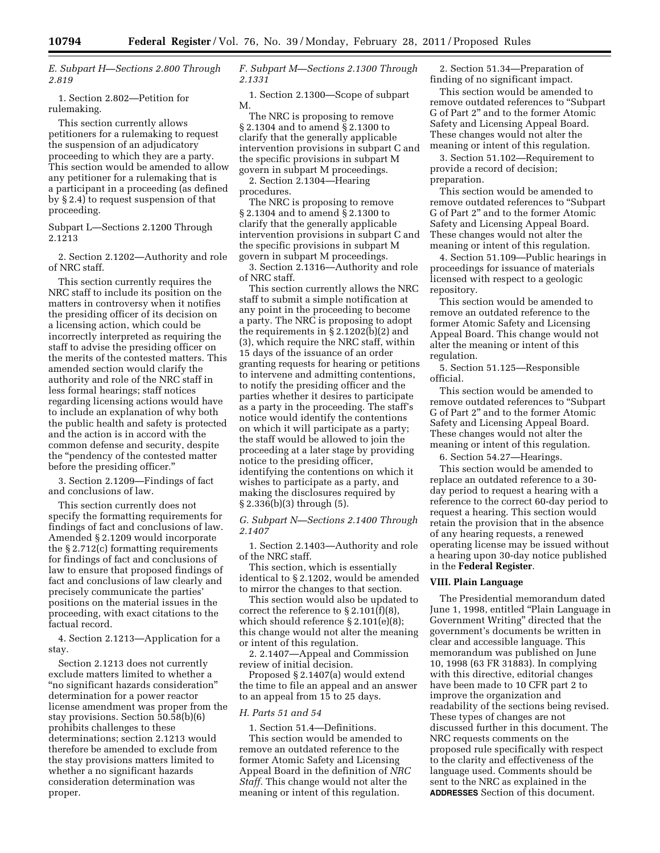*E. Subpart H—Sections 2.800 Through 2.819* 

1. Section 2.802—Petition for rulemaking.

This section currently allows petitioners for a rulemaking to request the suspension of an adjudicatory proceeding to which they are a party. This section would be amended to allow any petitioner for a rulemaking that is a participant in a proceeding (as defined by § 2.4) to request suspension of that proceeding.

Subpart L—Sections 2.1200 Through 2.1213

2. Section 2.1202—Authority and role of NRC staff.

This section currently requires the NRC staff to include its position on the matters in controversy when it notifies the presiding officer of its decision on a licensing action, which could be incorrectly interpreted as requiring the staff to advise the presiding officer on the merits of the contested matters. This amended section would clarify the authority and role of the NRC staff in less formal hearings; staff notices regarding licensing actions would have to include an explanation of why both the public health and safety is protected and the action is in accord with the common defense and security, despite the ''pendency of the contested matter before the presiding officer.''

3. Section 2.1209—Findings of fact and conclusions of law.

This section currently does not specify the formatting requirements for findings of fact and conclusions of law. Amended § 2.1209 would incorporate the § 2.712(c) formatting requirements for findings of fact and conclusions of law to ensure that proposed findings of fact and conclusions of law clearly and precisely communicate the parties' positions on the material issues in the proceeding, with exact citations to the factual record.

4. Section 2.1213—Application for a stay.

Section 2.1213 does not currently exclude matters limited to whether a ''no significant hazards consideration'' determination for a power reactor license amendment was proper from the stay provisions. Section 50.58(b)(6) prohibits challenges to these determinations; section 2.1213 would therefore be amended to exclude from the stay provisions matters limited to whether a no significant hazards consideration determination was proper.

# *F. Subpart M—Sections 2.1300 Through 2.1331*

1. Section 2.1300—Scope of subpart M.

The NRC is proposing to remove § 2.1304 and to amend § 2.1300 to clarify that the generally applicable intervention provisions in subpart C and the specific provisions in subpart M govern in subpart M proceedings.

2. Section 2.1304—Hearing procedures.

The NRC is proposing to remove § 2.1304 and to amend § 2.1300 to clarify that the generally applicable intervention provisions in subpart C and the specific provisions in subpart M govern in subpart M proceedings.

3. Section 2.1316—Authority and role of NRC staff.

This section currently allows the NRC staff to submit a simple notification at any point in the proceeding to become a party. The NRC is proposing to adopt the requirements in § 2.1202(b)(2) and (3), which require the NRC staff, within 15 days of the issuance of an order granting requests for hearing or petitions to intervene and admitting contentions, to notify the presiding officer and the parties whether it desires to participate as a party in the proceeding. The staff's notice would identify the contentions on which it will participate as a party; the staff would be allowed to join the proceeding at a later stage by providing notice to the presiding officer, identifying the contentions on which it wishes to participate as a party, and making the disclosures required by § 2.336(b)(3) through (5).

*G. Subpart N—Sections 2.1400 Through 2.1407* 

1. Section 2.1403—Authority and role of the NRC staff.

This section, which is essentially identical to § 2.1202, would be amended to mirror the changes to that section.

This section would also be updated to correct the reference to  $\S 2.101(f)(8)$ , which should reference § 2.101(e)(8); this change would not alter the meaning or intent of this regulation.

2. 2.1407—Appeal and Commission review of initial decision.

Proposed § 2.1407(a) would extend the time to file an appeal and an answer to an appeal from 15 to 25 days.

## *H. Parts 51 and 54*

1. Section 51.4—Definitions. This section would be amended to remove an outdated reference to the former Atomic Safety and Licensing Appeal Board in the definition of *NRC Staff.* This change would not alter the meaning or intent of this regulation.

2. Section 51.34—Preparation of finding of no significant impact.

This section would be amended to remove outdated references to ''Subpart G of Part 2'' and to the former Atomic Safety and Licensing Appeal Board. These changes would not alter the meaning or intent of this regulation.

3. Section 51.102—Requirement to provide a record of decision; preparation.

This section would be amended to remove outdated references to ''Subpart G of Part 2'' and to the former Atomic Safety and Licensing Appeal Board. These changes would not alter the meaning or intent of this regulation.

4. Section 51.109—Public hearings in proceedings for issuance of materials licensed with respect to a geologic repository.

This section would be amended to remove an outdated reference to the former Atomic Safety and Licensing Appeal Board. This change would not alter the meaning or intent of this regulation.

5. Section 51.125—Responsible official.

This section would be amended to remove outdated references to ''Subpart G of Part 2'' and to the former Atomic Safety and Licensing Appeal Board. These changes would not alter the meaning or intent of this regulation.

6. Section 54.27—Hearings.

This section would be amended to replace an outdated reference to a 30 day period to request a hearing with a reference to the correct 60-day period to request a hearing. This section would retain the provision that in the absence of any hearing requests, a renewed operating license may be issued without a hearing upon 30-day notice published in the **Federal Register**.

## **VIII. Plain Language**

The Presidential memorandum dated June 1, 1998, entitled "Plain Language in Government Writing'' directed that the government's documents be written in clear and accessible language. This memorandum was published on June 10, 1998 (63 FR 31883). In complying with this directive, editorial changes have been made to 10 CFR part 2 to improve the organization and readability of the sections being revised. These types of changes are not discussed further in this document. The NRC requests comments on the proposed rule specifically with respect to the clarity and effectiveness of the language used. Comments should be sent to the NRC as explained in the **ADDRESSES** Section of this document.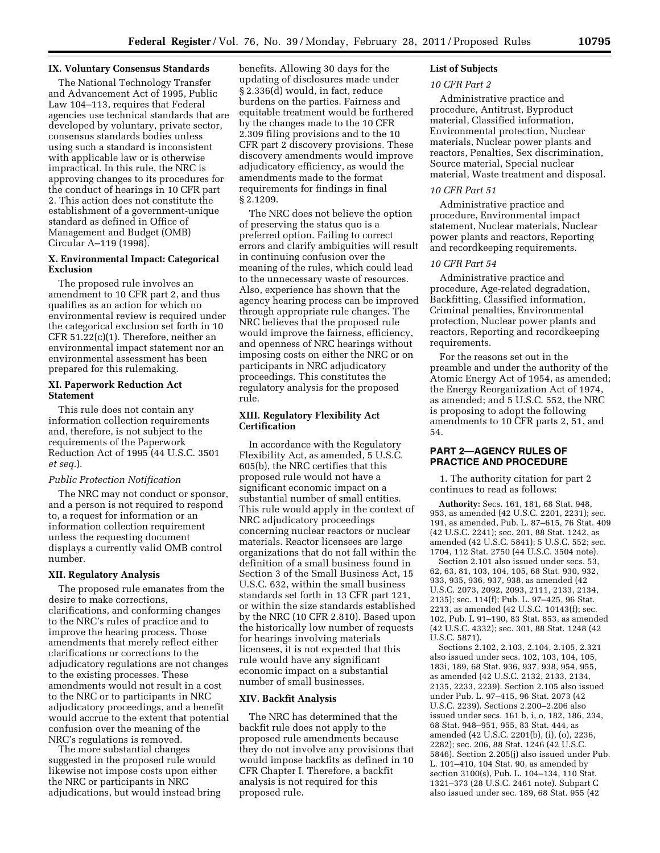# **IX. Voluntary Consensus Standards**

The National Technology Transfer and Advancement Act of 1995, Public Law 104–113, requires that Federal agencies use technical standards that are developed by voluntary, private sector, consensus standards bodies unless using such a standard is inconsistent with applicable law or is otherwise impractical. In this rule, the NRC is approving changes to its procedures for the conduct of hearings in 10 CFR part 2. This action does not constitute the establishment of a government-unique standard as defined in Office of Management and Budget (OMB) Circular A–119 (1998).

# **X. Environmental Impact: Categorical Exclusion**

The proposed rule involves an amendment to 10 CFR part 2, and thus qualifies as an action for which no environmental review is required under the categorical exclusion set forth in 10 CFR 51.22(c)(1). Therefore, neither an environmental impact statement nor an environmental assessment has been prepared for this rulemaking.

# **XI. Paperwork Reduction Act Statement**

This rule does not contain any information collection requirements and, therefore, is not subject to the requirements of the Paperwork Reduction Act of 1995 (44 U.S.C. 3501 *et seq.*).

## *Public Protection Notification*

The NRC may not conduct or sponsor, and a person is not required to respond to, a request for information or an information collection requirement unless the requesting document displays a currently valid OMB control number.

## **XII. Regulatory Analysis**

The proposed rule emanates from the desire to make corrections, clarifications, and conforming changes to the NRC's rules of practice and to improve the hearing process. Those amendments that merely reflect either clarifications or corrections to the adjudicatory regulations are not changes to the existing processes. These amendments would not result in a cost to the NRC or to participants in NRC adjudicatory proceedings, and a benefit would accrue to the extent that potential confusion over the meaning of the NRC's regulations is removed.

The more substantial changes suggested in the proposed rule would likewise not impose costs upon either the NRC or participants in NRC adjudications, but would instead bring benefits. Allowing 30 days for the updating of disclosures made under § 2.336(d) would, in fact, reduce burdens on the parties. Fairness and equitable treatment would be furthered by the changes made to the 10 CFR 2.309 filing provisions and to the 10 CFR part 2 discovery provisions. These discovery amendments would improve adjudicatory efficiency, as would the amendments made to the format requirements for findings in final § 2.1209.

The NRC does not believe the option of preserving the status quo is a preferred option. Failing to correct errors and clarify ambiguities will result in continuing confusion over the meaning of the rules, which could lead to the unnecessary waste of resources. Also, experience has shown that the agency hearing process can be improved through appropriate rule changes. The NRC believes that the proposed rule would improve the fairness, efficiency, and openness of NRC hearings without imposing costs on either the NRC or on participants in NRC adjudicatory proceedings. This constitutes the regulatory analysis for the proposed rule.

# **XIII. Regulatory Flexibility Act Certification**

In accordance with the Regulatory Flexibility Act, as amended, 5 U.S.C. 605(b), the NRC certifies that this proposed rule would not have a significant economic impact on a substantial number of small entities. This rule would apply in the context of NRC adjudicatory proceedings concerning nuclear reactors or nuclear materials. Reactor licensees are large organizations that do not fall within the definition of a small business found in Section 3 of the Small Business Act, 15 U.S.C. 632, within the small business standards set forth in 13 CFR part 121, or within the size standards established by the NRC (10 CFR 2.810). Based upon the historically low number of requests for hearings involving materials licensees, it is not expected that this rule would have any significant economic impact on a substantial number of small businesses.

# **XIV. Backfit Analysis**

The NRC has determined that the backfit rule does not apply to the proposed rule amendments because they do not involve any provisions that would impose backfits as defined in 10 CFR Chapter I. Therefore, a backfit analysis is not required for this proposed rule.

# **List of Subjects**

# *10 CFR Part 2*

Administrative practice and procedure, Antitrust, Byproduct material, Classified information, Environmental protection, Nuclear materials, Nuclear power plants and reactors, Penalties, Sex discrimination, Source material, Special nuclear material, Waste treatment and disposal.

# *10 CFR Part 51*

Administrative practice and procedure, Environmental impact statement, Nuclear materials, Nuclear power plants and reactors, Reporting and recordkeeping requirements.

# *10 CFR Part 54*

Administrative practice and procedure, Age-related degradation, Backfitting, Classified information, Criminal penalties, Environmental protection, Nuclear power plants and reactors, Reporting and recordkeeping requirements.

For the reasons set out in the preamble and under the authority of the Atomic Energy Act of 1954, as amended; the Energy Reorganization Act of 1974, as amended; and 5 U.S.C. 552, the NRC is proposing to adopt the following amendments to 10 CFR parts 2, 51, and 54.

# **PART 2—AGENCY RULES OF PRACTICE AND PROCEDURE**

1. The authority citation for part 2 continues to read as follows:

**Authority:** Secs. 161, 181, 68 Stat. 948, 953, as amended (42 U.S.C. 2201, 2231); sec. 191, as amended, Pub. L. 87–615, 76 Stat. 409 (42 U.S.C. 2241); sec. 201, 88 Stat. 1242, as amended (42 U.S.C. 5841); 5 U.S.C. 552; sec. 1704, 112 Stat. 2750 (44 U.S.C. 3504 note).

Section 2.101 also issued under secs. 53, 62, 63, 81, 103, 104, 105, 68 Stat. 930, 932, 933, 935, 936, 937, 938, as amended (42 U.S.C. 2073, 2092, 2093, 2111, 2133, 2134, 2135); sec. 114(f); Pub. L. 97–425, 96 Stat. 2213, as amended (42 U.S.C. 10143(f); sec. 102, Pub. L 91–190, 83 Stat. 853, as amended (42 U.S.C. 4332); sec. 301, 88 Stat. 1248 (42 U.S.C. 5871).

Sections 2.102, 2.103, 2.104, 2.105, 2.321 also issued under secs. 102, 103, 104, 105, 183i, 189, 68 Stat. 936, 937, 938, 954, 955, as amended (42 U.S.C. 2132, 2133, 2134, 2135, 2233, 2239). Section 2.105 also issued under Pub. L. 97–415, 96 Stat. 2073 (42 U.S.C. 2239). Sections 2.200–2.206 also issued under secs. 161 b, i, o, 182, 186, 234, 68 Stat. 948–951, 955, 83 Stat. 444, as amended (42 U.S.C. 2201(b), (i), (o), 2236, 2282); sec. 206, 88 Stat. 1246 (42 U.S.C. 5846). Section 2.205(j) also issued under Pub. L. 101–410, 104 Stat. 90, as amended by section 3100(s), Pub. L. 104–134, 110 Stat. 1321–373 (28 U.S.C. 2461 note). Subpart C also issued under sec. 189, 68 Stat. 955 (42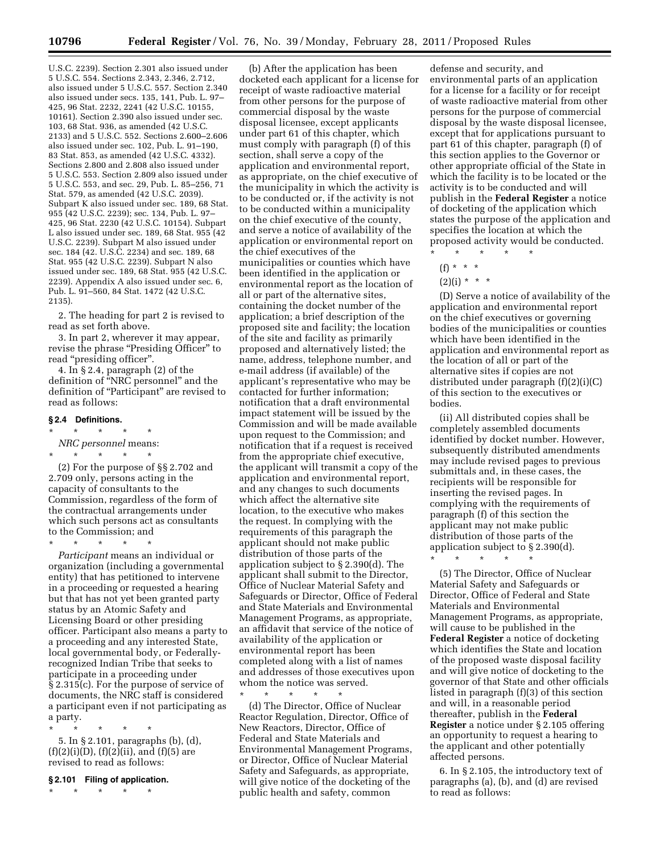U.S.C. 2239). Section 2.301 also issued under 5 U.S.C. 554. Sections 2.343, 2.346, 2.712, also issued under 5 U.S.C. 557. Section 2.340 also issued under secs. 135, 141, Pub. L. 97– 425, 96 Stat. 2232, 2241 (42 U.S.C. 10155, 10161). Section 2.390 also issued under sec. 103, 68 Stat. 936, as amended (42 U.S.C. 2133) and 5 U.S.C. 552. Sections 2.600–2.606 also issued under sec. 102, Pub. L. 91–190, 83 Stat. 853, as amended (42 U.S.C. 4332). Sections 2.800 and 2.808 also issued under 5 U.S.C. 553. Section 2.809 also issued under 5 U.S.C. 553, and sec. 29, Pub. L. 85–256, 71 Stat. 579, as amended (42 U.S.C. 2039). Subpart K also issued under sec. 189, 68 Stat. 955 (42 U.S.C. 2239); sec. 134, Pub. L. 97– 425, 96 Stat. 2230 (42 U.S.C. 10154). Subpart L also issued under sec. 189, 68 Stat. 955 (42 U.S.C. 2239). Subpart M also issued under sec. 184 (42. U.S.C. 2234) and sec. 189, 68 Stat. 955 (42 U.S.C. 2239). Subpart N also issued under sec. 189, 68 Stat. 955 (42 U.S.C. 2239). Appendix A also issued under sec. 6, Pub. L. 91–560, 84 Stat. 1472 (42 U.S.C. 2135).

2. The heading for part 2 is revised to read as set forth above.

3. In part 2, wherever it may appear, revise the phrase "Presiding Officer" to read "presiding officer".

4. In § 2.4, paragraph (2) of the definition of ''NRC personnel'' and the definition of "Participant" are revised to read as follows:

# **§ 2.4 Definitions.**

\* \* \* \* \* *NRC personnel* means:

\* \* \* \* \*

(2) For the purpose of §§ 2.702 and 2.709 only, persons acting in the capacity of consultants to the Commission, regardless of the form of the contractual arrangements under which such persons act as consultants to the Commission; and

\* \* \* \* \* *Participant* means an individual or organization (including a governmental entity) that has petitioned to intervene in a proceeding or requested a hearing but that has not yet been granted party status by an Atomic Safety and Licensing Board or other presiding officer. Participant also means a party to a proceeding and any interested State, local governmental body, or Federallyrecognized Indian Tribe that seeks to participate in a proceeding under § 2.315(c). For the purpose of service of documents, the NRC staff is considered a participant even if not participating as a party.

\* \* \* \* \* 5. In § 2.101, paragraphs (b), (d),  $(f)(2)(i)(D), (f)(2)(ii), and (f)(5) are$ revised to read as follows:

# **§ 2.101 Filing of application.**

\* \* \* \* \*

(b) After the application has been docketed each applicant for a license for receipt of waste radioactive material from other persons for the purpose of commercial disposal by the waste disposal licensee, except applicants under part 61 of this chapter, which must comply with paragraph (f) of this section, shall serve a copy of the application and environmental report, as appropriate, on the chief executive of the municipality in which the activity is to be conducted or, if the activity is not to be conducted within a municipality on the chief executive of the county, and serve a notice of availability of the application or environmental report on the chief executives of the municipalities or counties which have been identified in the application or environmental report as the location of all or part of the alternative sites, containing the docket number of the application; a brief description of the proposed site and facility; the location of the site and facility as primarily proposed and alternatively listed; the name, address, telephone number, and e-mail address (if available) of the applicant's representative who may be contacted for further information; notification that a draft environmental impact statement will be issued by the Commission and will be made available upon request to the Commission; and notification that if a request is received from the appropriate chief executive, the applicant will transmit a copy of the application and environmental report, and any changes to such documents which affect the alternative site location, to the executive who makes the request. In complying with the requirements of this paragraph the applicant should not make public distribution of those parts of the application subject to § 2.390(d). The applicant shall submit to the Director, Office of Nuclear Material Safety and Safeguards or Director, Office of Federal and State Materials and Environmental Management Programs, as appropriate, an affidavit that service of the notice of availability of the application or environmental report has been completed along with a list of names and addresses of those executives upon whom the notice was served.

\* \* \* \* \* (d) The Director, Office of Nuclear Reactor Regulation, Director, Office of New Reactors, Director, Office of Federal and State Materials and Environmental Management Programs, or Director, Office of Nuclear Material Safety and Safeguards, as appropriate, will give notice of the docketing of the public health and safety, common

defense and security, and environmental parts of an application for a license for a facility or for receipt of waste radioactive material from other persons for the purpose of commercial disposal by the waste disposal licensee, except that for applications pursuant to part 61 of this chapter, paragraph (f) of this section applies to the Governor or other appropriate official of the State in which the facility is to be located or the activity is to be conducted and will publish in the **Federal Register** a notice of docketing of the application which states the purpose of the application and specifies the location at which the proposed activity would be conducted.

- \* \* \* \* \* (f) \* \* \*
	-
- $(2)(i) * * * *$

(D) Serve a notice of availability of the application and environmental report on the chief executives or governing bodies of the municipalities or counties which have been identified in the application and environmental report as the location of all or part of the alternative sites if copies are not distributed under paragraph (f)(2)(i)(C) of this section to the executives or bodies.

(ii) All distributed copies shall be completely assembled documents identified by docket number. However, subsequently distributed amendments may include revised pages to previous submittals and, in these cases, the recipients will be responsible for inserting the revised pages. In complying with the requirements of paragraph (f) of this section the applicant may not make public distribution of those parts of the application subject to § 2.390(d).

\* \* \* \* \*

(5) The Director, Office of Nuclear Material Safety and Safeguards or Director, Office of Federal and State Materials and Environmental Management Programs, as appropriate, will cause to be published in the **Federal Register** a notice of docketing which identifies the State and location of the proposed waste disposal facility and will give notice of docketing to the governor of that State and other officials listed in paragraph (f)(3) of this section and will, in a reasonable period thereafter, publish in the **Federal Register** a notice under § 2.105 offering an opportunity to request a hearing to the applicant and other potentially affected persons.

6. In § 2.105, the introductory text of paragraphs (a), (b), and (d) are revised to read as follows: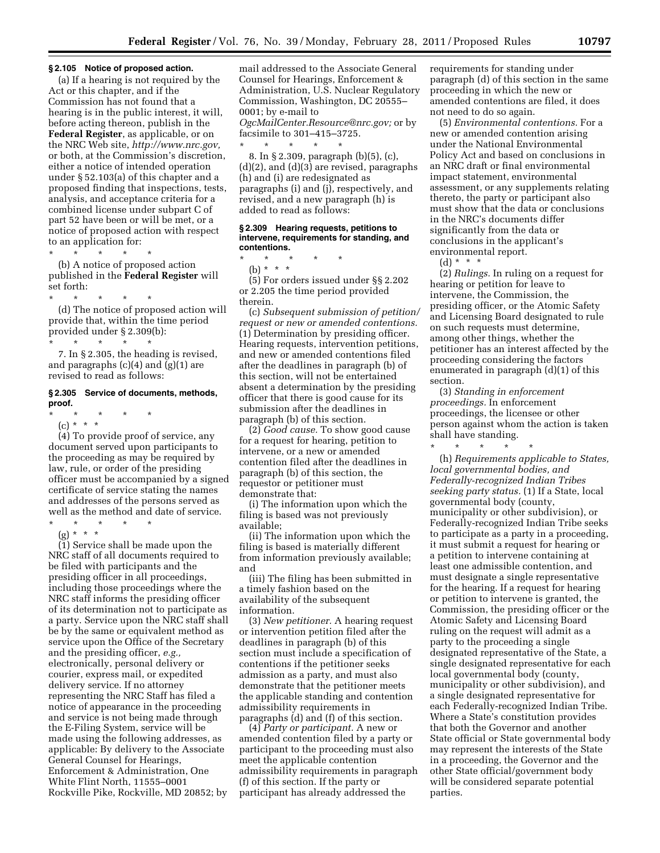#### **§ 2.105 Notice of proposed action.**

(a) If a hearing is not required by the Act or this chapter, and if the Commission has not found that a hearing is in the public interest, it will, before acting thereon, publish in the **Federal Register**, as applicable, or on the NRC Web site, *[http://www.nrc.gov,](http://www.nrc.gov)*  or both, at the Commission's discretion, either a notice of intended operation under § 52.103(a) of this chapter and a proposed finding that inspections, tests, analysis, and acceptance criteria for a combined license under subpart C of part 52 have been or will be met, or a notice of proposed action with respect to an application for:

\* \* \* \* \*

(b) A notice of proposed action published in the **Federal Register** will set forth:

\* \* \* \* \*

(d) The notice of proposed action will provide that, within the time period provided under § 2.309(b):

\* \* \* \* \* 7. In § 2.305, the heading is revised, and paragraphs (c)(4) and (g)(1) are revised to read as follows:

#### **§ 2.305 Service of documents, methods, proof.**

- \* \* \* \* \*
	- (c) \* \* \*

(4) To provide proof of service, any document served upon participants to the proceeding as may be required by law, rule, or order of the presiding officer must be accompanied by a signed certificate of service stating the names and addresses of the persons served as well as the method and date of service.

\* \* \* \* \*

(g) \* \* \* (1) Service shall be made upon the

NRC staff of all documents required to be filed with participants and the presiding officer in all proceedings, including those proceedings where the NRC staff informs the presiding officer of its determination not to participate as a party. Service upon the NRC staff shall be by the same or equivalent method as service upon the Office of the Secretary and the presiding officer, *e.g.,*  electronically, personal delivery or courier, express mail, or expedited delivery service. If no attorney representing the NRC Staff has filed a notice of appearance in the proceeding and service is not being made through the E-Filing System, service will be made using the following addresses, as applicable: By delivery to the Associate General Counsel for Hearings, Enforcement & Administration, One White Flint North, 11555–0001 Rockville Pike, Rockville, MD 20852; by

mail addressed to the Associate General Counsel for Hearings, Enforcement & Administration, U.S. Nuclear Regulatory Commission, Washington, DC 20555– 0001; by e-mail to *[OgcMailCenter.Resource@nrc.gov;](mailto:OgcMailCenter.Resource@nrc.gov)* or by facsimile to 301–415–3725. \* \* \* \* \*

8. In § 2.309, paragraph (b)(5), (c), (d)(2), and (d)(3) are revised, paragraphs (h) and (i) are redesignated as paragraphs (i) and (j), respectively, and revised, and a new paragraph (h) is added to read as follows:

## **§ 2.309 Hearing requests, petitions to intervene, requirements for standing, and contentions.**

(b) \* \* \* (5) For orders issued under §§ 2.202 or 2.205 the time period provided therein.

\* \* \* \* \*

(c) *Subsequent submission of petition/ request or new or amended contentions.*  (1) Determination by presiding officer. Hearing requests, intervention petitions, and new or amended contentions filed after the deadlines in paragraph (b) of this section, will not be entertained absent a determination by the presiding officer that there is good cause for its submission after the deadlines in paragraph (b) of this section.

(2) *Good cause.* To show good cause for a request for hearing, petition to intervene, or a new or amended contention filed after the deadlines in paragraph (b) of this section, the requestor or petitioner must demonstrate that:

(i) The information upon which the filing is based was not previously available;

(ii) The information upon which the filing is based is materially different from information previously available; and

(iii) The filing has been submitted in a timely fashion based on the availability of the subsequent information.

(3) *New petitioner.* A hearing request or intervention petition filed after the deadlines in paragraph (b) of this section must include a specification of contentions if the petitioner seeks admission as a party, and must also demonstrate that the petitioner meets the applicable standing and contention admissibility requirements in paragraphs (d) and (f) of this section.

(4) *Party or participant.* A new or amended contention filed by a party or participant to the proceeding must also meet the applicable contention admissibility requirements in paragraph (f) of this section. If the party or participant has already addressed the

requirements for standing under paragraph (d) of this section in the same proceeding in which the new or amended contentions are filed, it does not need to do so again.

(5) *Environmental contentions.* For a new or amended contention arising under the National Environmental Policy Act and based on conclusions in an NRC draft or final environmental impact statement, environmental assessment, or any supplements relating thereto, the party or participant also must show that the data or conclusions in the NRC's documents differ significantly from the data or conclusions in the applicant's environmental report.

 $(d) * * * *$ 

(2) *Rulings.* In ruling on a request for hearing or petition for leave to intervene, the Commission, the presiding officer, or the Atomic Safety and Licensing Board designated to rule on such requests must determine, among other things, whether the petitioner has an interest affected by the proceeding considering the factors enumerated in paragraph (d)(1) of this section.

(3) *Standing in enforcement proceedings.* In enforcement proceedings, the licensee or other person against whom the action is taken shall have standing.

\* \* \* \* \*

(h) *Requirements applicable to States, local governmental bodies, and Federally-recognized Indian Tribes seeking party status.* (1) If a State, local governmental body (county, municipality or other subdivision), or Federally-recognized Indian Tribe seeks to participate as a party in a proceeding, it must submit a request for hearing or a petition to intervene containing at least one admissible contention, and must designate a single representative for the hearing. If a request for hearing or petition to intervene is granted, the Commission, the presiding officer or the Atomic Safety and Licensing Board ruling on the request will admit as a party to the proceeding a single designated representative of the State, a single designated representative for each local governmental body (county, municipality or other subdivision), and a single designated representative for each Federally-recognized Indian Tribe. Where a State's constitution provides that both the Governor and another State official or State governmental body may represent the interests of the State in a proceeding, the Governor and the other State official/government body will be considered separate potential parties.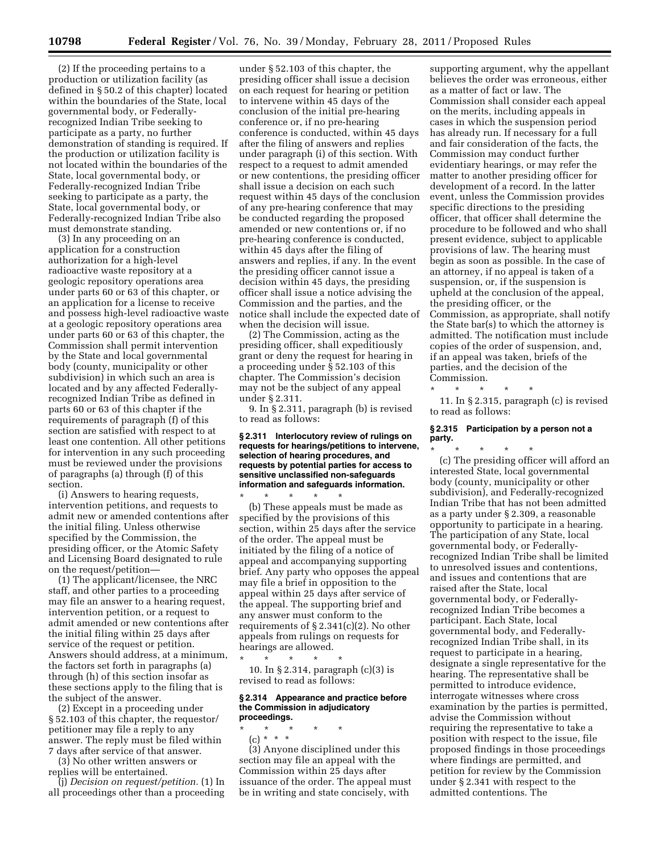(2) If the proceeding pertains to a production or utilization facility (as defined in § 50.2 of this chapter) located within the boundaries of the State, local governmental body, or Federallyrecognized Indian Tribe seeking to participate as a party, no further demonstration of standing is required. If the production or utilization facility is not located within the boundaries of the State, local governmental body, or Federally-recognized Indian Tribe seeking to participate as a party, the State, local governmental body, or Federally-recognized Indian Tribe also must demonstrate standing.

(3) In any proceeding on an application for a construction authorization for a high-level radioactive waste repository at a geologic repository operations area under parts 60 or 63 of this chapter, or an application for a license to receive and possess high-level radioactive waste at a geologic repository operations area under parts 60 or 63 of this chapter, the Commission shall permit intervention by the State and local governmental body (county, municipality or other subdivision) in which such an area is located and by any affected Federallyrecognized Indian Tribe as defined in parts 60 or 63 of this chapter if the requirements of paragraph (f) of this section are satisfied with respect to at least one contention. All other petitions for intervention in any such proceeding must be reviewed under the provisions of paragraphs (a) through (f) of this section.

(i) Answers to hearing requests, intervention petitions, and requests to admit new or amended contentions after the initial filing. Unless otherwise specified by the Commission, the presiding officer, or the Atomic Safety and Licensing Board designated to rule on the request/petition—

(1) The applicant/licensee, the NRC staff, and other parties to a proceeding may file an answer to a hearing request, intervention petition, or a request to admit amended or new contentions after the initial filing within 25 days after service of the request or petition. Answers should address, at a minimum, the factors set forth in paragraphs (a) through (h) of this section insofar as these sections apply to the filing that is the subject of the answer.

(2) Except in a proceeding under § 52.103 of this chapter, the requestor/ petitioner may file a reply to any answer. The reply must be filed within 7 days after service of that answer.

(3) No other written answers or replies will be entertained.

(j) *Decision on request/petition.* (1) In all proceedings other than a proceeding

under § 52.103 of this chapter, the presiding officer shall issue a decision on each request for hearing or petition to intervene within 45 days of the conclusion of the initial pre-hearing conference or, if no pre-hearing conference is conducted, within 45 days after the filing of answers and replies under paragraph (i) of this section. With respect to a request to admit amended or new contentions, the presiding officer shall issue a decision on each such request within 45 days of the conclusion of any pre-hearing conference that may be conducted regarding the proposed amended or new contentions or, if no pre-hearing conference is conducted, within 45 days after the filing of answers and replies, if any. In the event the presiding officer cannot issue a decision within 45 days, the presiding officer shall issue a notice advising the Commission and the parties, and the notice shall include the expected date of when the decision will issue.

(2) The Commission, acting as the presiding officer, shall expeditiously grant or deny the request for hearing in a proceeding under § 52.103 of this chapter. The Commission's decision may not be the subject of any appeal under § 2.311.

9. In § 2.311, paragraph (b) is revised to read as follows:

**§ 2.311 Interlocutory review of rulings on requests for hearings/petitions to intervene, selection of hearing procedures, and requests by potential parties for access to sensitive unclassified non-safeguards information and safeguards information.** 

\* \* \* \* \* (b) These appeals must be made as specified by the provisions of this section, within 25 days after the service of the order. The appeal must be initiated by the filing of a notice of appeal and accompanying supporting brief. Any party who opposes the appeal may file a brief in opposition to the appeal within 25 days after service of the appeal. The supporting brief and any answer must conform to the requirements of  $\S 2.341(c)(2)$ . No other appeals from rulings on requests for hearings are allowed.

\* \* \* \* \* 10. In § 2.314, paragraph (c)(3) is revised to read as follows:

## **§ 2.314 Appearance and practice before the Commission in adjudicatory proceedings.**

\* \* \* \* \*

(c) \* \* \* (3) Anyone disciplined under this section may file an appeal with the Commission within 25 days after issuance of the order. The appeal must be in writing and state concisely, with

supporting argument, why the appellant believes the order was erroneous, either as a matter of fact or law. The Commission shall consider each appeal on the merits, including appeals in cases in which the suspension period has already run. If necessary for a full and fair consideration of the facts, the Commission may conduct further evidentiary hearings, or may refer the matter to another presiding officer for development of a record. In the latter event, unless the Commission provides specific directions to the presiding officer, that officer shall determine the procedure to be followed and who shall present evidence, subject to applicable provisions of law. The hearing must begin as soon as possible. In the case of an attorney, if no appeal is taken of a suspension, or, if the suspension is upheld at the conclusion of the appeal, the presiding officer, or the Commission, as appropriate, shall notify the State bar(s) to which the attorney is admitted. The notification must include copies of the order of suspension, and, if an appeal was taken, briefs of the parties, and the decision of the Commission.

\* \* \* \* \*

11. In § 2.315, paragraph (c) is revised to read as follows:

### **§ 2.315 Participation by a person not a party.**

\* \* \* \* \* (c) The presiding officer will afford an interested State, local governmental body (county, municipality or other subdivision), and Federally-recognized Indian Tribe that has not been admitted as a party under § 2.309, a reasonable opportunity to participate in a hearing. The participation of any State, local governmental body, or Federallyrecognized Indian Tribe shall be limited to unresolved issues and contentions, and issues and contentions that are raised after the State, local governmental body, or Federallyrecognized Indian Tribe becomes a participant. Each State, local governmental body, and Federallyrecognized Indian Tribe shall, in its request to participate in a hearing, designate a single representative for the hearing. The representative shall be permitted to introduce evidence, interrogate witnesses where cross examination by the parties is permitted, advise the Commission without requiring the representative to take a position with respect to the issue, file proposed findings in those proceedings where findings are permitted, and petition for review by the Commission under § 2.341 with respect to the admitted contentions. The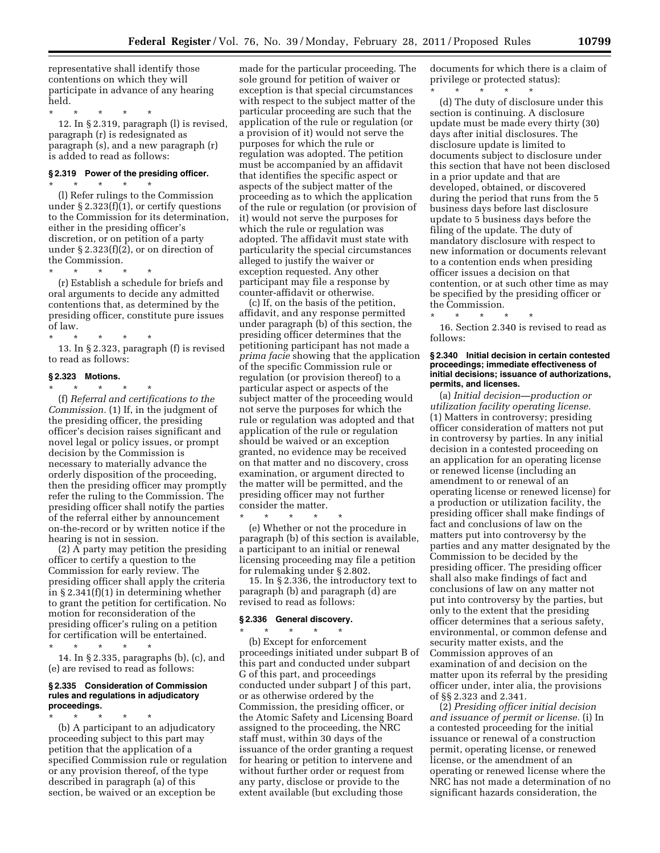representative shall identify those contentions on which they will participate in advance of any hearing held.

\* \* \* \* \* 12. In § 2.319, paragraph (l) is revised, paragraph (r) is redesignated as paragraph (s), and a new paragraph (r) is added to read as follows:

# **§ 2.319 Power of the presiding officer.**

\* \* \* \* \* (l) Refer rulings to the Commission under § 2.323(f)(1), or certify questions to the Commission for its determination, either in the presiding officer's discretion, or on petition of a party under  $\S 2.323(f)(2)$ , or on direction of the Commission.

\* \* \* \* \* (r) Establish a schedule for briefs and oral arguments to decide any admitted contentions that, as determined by the presiding officer, constitute pure issues of law.

\* \* \* \* \* 13. In § 2.323, paragraph (f) is revised to read as follows:

# **§ 2.323 Motions.**

\* \* \* \* \* (f) *Referral and certifications to the Commission.* (1) If, in the judgment of the presiding officer, the presiding officer's decision raises significant and novel legal or policy issues, or prompt decision by the Commission is necessary to materially advance the orderly disposition of the proceeding, then the presiding officer may promptly refer the ruling to the Commission. The presiding officer shall notify the parties of the referral either by announcement on-the-record or by written notice if the hearing is not in session.

(2) A party may petition the presiding officer to certify a question to the Commission for early review. The presiding officer shall apply the criteria in § 2.341(f)(1) in determining whether to grant the petition for certification. No motion for reconsideration of the presiding officer's ruling on a petition for certification will be entertained.

\* \* \* \* \*

14. In § 2.335, paragraphs (b), (c), and (e) are revised to read as follows:

## **§ 2.335 Consideration of Commission rules and regulations in adjudicatory proceedings.**

\* \* \* \* \*

(b) A participant to an adjudicatory proceeding subject to this part may petition that the application of a specified Commission rule or regulation or any provision thereof, of the type described in paragraph (a) of this section, be waived or an exception be

made for the particular proceeding. The sole ground for petition of waiver or exception is that special circumstances with respect to the subject matter of the particular proceeding are such that the application of the rule or regulation (or a provision of it) would not serve the purposes for which the rule or regulation was adopted. The petition must be accompanied by an affidavit that identifies the specific aspect or aspects of the subject matter of the proceeding as to which the application of the rule or regulation (or provision of it) would not serve the purposes for which the rule or regulation was adopted. The affidavit must state with particularity the special circumstances alleged to justify the waiver or exception requested. Any other participant may file a response by counter-affidavit or otherwise.

(c) If, on the basis of the petition, affidavit, and any response permitted under paragraph (b) of this section, the presiding officer determines that the petitioning participant has not made a *prima facie* showing that the application of the specific Commission rule or regulation (or provision thereof) to a particular aspect or aspects of the subject matter of the proceeding would not serve the purposes for which the rule or regulation was adopted and that application of the rule or regulation should be waived or an exception granted, no evidence may be received on that matter and no discovery, cross examination, or argument directed to the matter will be permitted, and the presiding officer may not further consider the matter.

\* \* \* \* \* (e) Whether or not the procedure in paragraph (b) of this section is available, a participant to an initial or renewal licensing proceeding may file a petition for rulemaking under § 2.802.

15. In § 2.336, the introductory text to paragraph (b) and paragraph (d) are revised to read as follows:

#### **§ 2.336 General discovery.**

\* \* \* \* \* (b) Except for enforcement proceedings initiated under subpart B of this part and conducted under subpart G of this part, and proceedings conducted under subpart J of this part, or as otherwise ordered by the Commission, the presiding officer, or the Atomic Safety and Licensing Board assigned to the proceeding, the NRC staff must, within 30 days of the issuance of the order granting a request for hearing or petition to intervene and without further order or request from any party, disclose or provide to the extent available (but excluding those

documents for which there is a claim of privilege or protected status): \* \* \* \* \*

(d) The duty of disclosure under this section is continuing. A disclosure update must be made every thirty (30) days after initial disclosures. The disclosure update is limited to documents subject to disclosure under this section that have not been disclosed in a prior update and that are developed, obtained, or discovered during the period that runs from the 5 business days before last disclosure update to 5 business days before the filing of the update. The duty of mandatory disclosure with respect to new information or documents relevant to a contention ends when presiding officer issues a decision on that contention, or at such other time as may be specified by the presiding officer or the Commission.

\* \* \* \* \* 16. Section 2.340 is revised to read as follows:

## **§ 2.340 Initial decision in certain contested proceedings; immediate effectiveness of initial decisions; issuance of authorizations, permits, and licenses.**

(a) *Initial decision—production or utilization facility operating license.*  (1) Matters in controversy; presiding officer consideration of matters not put in controversy by parties. In any initial decision in a contested proceeding on an application for an operating license or renewed license (including an amendment to or renewal of an operating license or renewed license) for a production or utilization facility, the presiding officer shall make findings of fact and conclusions of law on the matters put into controversy by the parties and any matter designated by the Commission to be decided by the presiding officer. The presiding officer shall also make findings of fact and conclusions of law on any matter not put into controversy by the parties, but only to the extent that the presiding officer determines that a serious safety, environmental, or common defense and security matter exists, and the Commission approves of an examination of and decision on the matter upon its referral by the presiding officer under, inter alia, the provisions of §§ 2.323 and 2.341.

(2) *Presiding officer initial decision and issuance of permit or license.* (i) In a contested proceeding for the initial issuance or renewal of a construction permit, operating license, or renewed license, or the amendment of an operating or renewed license where the NRC has not made a determination of no significant hazards consideration, the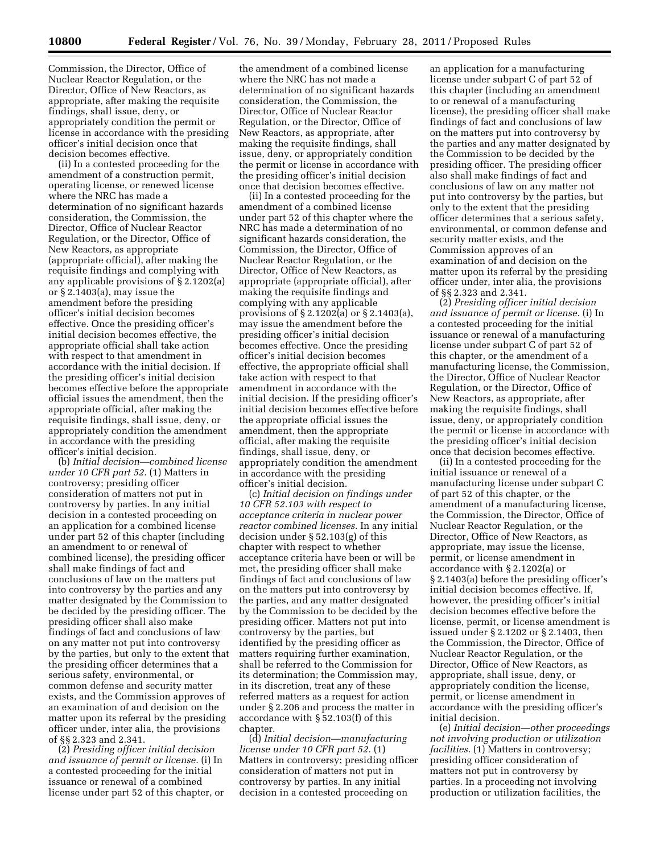Commission, the Director, Office of Nuclear Reactor Regulation, or the Director, Office of New Reactors, as appropriate, after making the requisite findings, shall issue, deny, or appropriately condition the permit or license in accordance with the presiding officer's initial decision once that decision becomes effective.

(ii) In a contested proceeding for the amendment of a construction permit, operating license, or renewed license where the NRC has made a determination of no significant hazards consideration, the Commission, the Director, Office of Nuclear Reactor Regulation, or the Director, Office of New Reactors, as appropriate (appropriate official), after making the requisite findings and complying with any applicable provisions of § 2.1202(a) or § 2.1403(a), may issue the amendment before the presiding officer's initial decision becomes effective. Once the presiding officer's initial decision becomes effective, the appropriate official shall take action with respect to that amendment in accordance with the initial decision. If the presiding officer's initial decision becomes effective before the appropriate official issues the amendment, then the appropriate official, after making the requisite findings, shall issue, deny, or appropriately condition the amendment in accordance with the presiding officer's initial decision.

(b) *Initial decision—combined license under 10 CFR part 52.* (1) Matters in controversy; presiding officer consideration of matters not put in controversy by parties. In any initial decision in a contested proceeding on an application for a combined license under part 52 of this chapter (including an amendment to or renewal of combined license), the presiding officer shall make findings of fact and conclusions of law on the matters put into controversy by the parties and any matter designated by the Commission to be decided by the presiding officer. The presiding officer shall also make findings of fact and conclusions of law on any matter not put into controversy by the parties, but only to the extent that the presiding officer determines that a serious safety, environmental, or common defense and security matter exists, and the Commission approves of an examination of and decision on the matter upon its referral by the presiding officer under, inter alia, the provisions of §§ 2.323 and 2.341.

(2) *Presiding officer initial decision and issuance of permit or license.* (i) In a contested proceeding for the initial issuance or renewal of a combined license under part 52 of this chapter, or

the amendment of a combined license where the NRC has not made a determination of no significant hazards consideration, the Commission, the Director, Office of Nuclear Reactor Regulation, or the Director, Office of New Reactors, as appropriate, after making the requisite findings, shall issue, deny, or appropriately condition the permit or license in accordance with the presiding officer's initial decision once that decision becomes effective.

(ii) In a contested proceeding for the amendment of a combined license under part 52 of this chapter where the NRC has made a determination of no significant hazards consideration, the Commission, the Director, Office of Nuclear Reactor Regulation, or the Director, Office of New Reactors, as appropriate (appropriate official), after making the requisite findings and complying with any applicable provisions of § 2.1202(a) or § 2.1403(a), may issue the amendment before the presiding officer's initial decision becomes effective. Once the presiding officer's initial decision becomes effective, the appropriate official shall take action with respect to that amendment in accordance with the initial decision. If the presiding officer's initial decision becomes effective before the appropriate official issues the amendment, then the appropriate official, after making the requisite findings, shall issue, deny, or appropriately condition the amendment in accordance with the presiding officer's initial decision.

(c) *Initial decision on findings under 10 CFR 52.103 with respect to acceptance criteria in nuclear power reactor combined licenses.* In any initial decision under § 52.103(g) of this chapter with respect to whether acceptance criteria have been or will be met, the presiding officer shall make findings of fact and conclusions of law on the matters put into controversy by the parties, and any matter designated by the Commission to be decided by the presiding officer. Matters not put into controversy by the parties, but identified by the presiding officer as matters requiring further examination, shall be referred to the Commission for its determination; the Commission may, in its discretion, treat any of these referred matters as a request for action under § 2.206 and process the matter in accordance with § 52.103(f) of this chapter.

(d) *Initial decision—manufacturing license under 10 CFR part 52.* (1) Matters in controversy; presiding officer consideration of matters not put in controversy by parties. In any initial decision in a contested proceeding on

an application for a manufacturing license under subpart C of part 52 of this chapter (including an amendment to or renewal of a manufacturing license), the presiding officer shall make findings of fact and conclusions of law on the matters put into controversy by the parties and any matter designated by the Commission to be decided by the presiding officer. The presiding officer also shall make findings of fact and conclusions of law on any matter not put into controversy by the parties, but only to the extent that the presiding officer determines that a serious safety, environmental, or common defense and security matter exists, and the Commission approves of an examination of and decision on the matter upon its referral by the presiding officer under, inter alia, the provisions of §§ 2.323 and 2.341.

(2) *Presiding officer initial decision and issuance of permit or license.* (i) In a contested proceeding for the initial issuance or renewal of a manufacturing license under subpart C of part 52 of this chapter, or the amendment of a manufacturing license, the Commission, the Director, Office of Nuclear Reactor Regulation, or the Director, Office of New Reactors, as appropriate, after making the requisite findings, shall issue, deny, or appropriately condition the permit or license in accordance with the presiding officer's initial decision once that decision becomes effective.

(ii) In a contested proceeding for the initial issuance or renewal of a manufacturing license under subpart C of part 52 of this chapter, or the amendment of a manufacturing license, the Commission, the Director, Office of Nuclear Reactor Regulation, or the Director, Office of New Reactors, as appropriate, may issue the license, permit, or license amendment in accordance with § 2.1202(a) or § 2.1403(a) before the presiding officer's initial decision becomes effective. If, however, the presiding officer's initial decision becomes effective before the license, permit, or license amendment is issued under § 2.1202 or § 2.1403, then the Commission, the Director, Office of Nuclear Reactor Regulation, or the Director, Office of New Reactors, as appropriate, shall issue, deny, or appropriately condition the license, permit, or license amendment in accordance with the presiding officer's initial decision.

(e) *Initial decision—other proceedings not involving production or utilization facilities.* (1) Matters in controversy; presiding officer consideration of matters not put in controversy by parties. In a proceeding not involving production or utilization facilities, the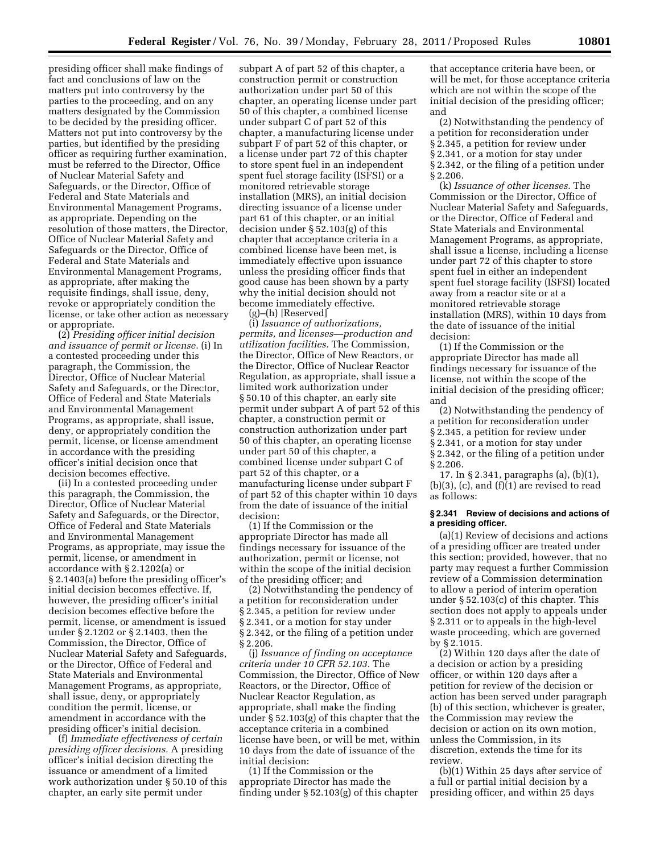presiding officer shall make findings of fact and conclusions of law on the matters put into controversy by the parties to the proceeding, and on any matters designated by the Commission to be decided by the presiding officer. Matters not put into controversy by the parties, but identified by the presiding officer as requiring further examination, must be referred to the Director, Office of Nuclear Material Safety and Safeguards, or the Director, Office of Federal and State Materials and Environmental Management Programs, as appropriate. Depending on the resolution of those matters, the Director, Office of Nuclear Material Safety and Safeguards or the Director, Office of Federal and State Materials and Environmental Management Programs, as appropriate, after making the requisite findings, shall issue, deny, revoke or appropriately condition the license, or take other action as necessary or appropriate.

(2) *Presiding officer initial decision and issuance of permit or license.* (i) In a contested proceeding under this paragraph, the Commission, the Director, Office of Nuclear Material Safety and Safeguards, or the Director, Office of Federal and State Materials and Environmental Management Programs, as appropriate, shall issue, deny, or appropriately condition the permit, license, or license amendment in accordance with the presiding officer's initial decision once that decision becomes effective.

(ii) In a contested proceeding under this paragraph, the Commission, the Director, Office of Nuclear Material Safety and Safeguards, or the Director, Office of Federal and State Materials and Environmental Management Programs, as appropriate, may issue the permit, license, or amendment in accordance with § 2.1202(a) or § 2.1403(a) before the presiding officer's initial decision becomes effective. If, however, the presiding officer's initial decision becomes effective before the permit, license, or amendment is issued under § 2.1202 or § 2.1403, then the Commission, the Director, Office of Nuclear Material Safety and Safeguards, or the Director, Office of Federal and State Materials and Environmental Management Programs, as appropriate, shall issue, deny, or appropriately condition the permit, license, or amendment in accordance with the presiding officer's initial decision.

(f) *Immediate effectiveness of certain presiding officer decisions.* A presiding officer's initial decision directing the issuance or amendment of a limited work authorization under § 50.10 of this chapter, an early site permit under

subpart A of part 52 of this chapter, a construction permit or construction authorization under part 50 of this chapter, an operating license under part 50 of this chapter, a combined license under subpart C of part 52 of this chapter, a manufacturing license under subpart F of part 52 of this chapter, or a license under part 72 of this chapter to store spent fuel in an independent spent fuel storage facility (ISFSI) or a monitored retrievable storage installation (MRS), an initial decision directing issuance of a license under part 61 of this chapter, or an initial decision under § 52.103(g) of this chapter that acceptance criteria in a combined license have been met, is immediately effective upon issuance unless the presiding officer finds that good cause has been shown by a party why the initial decision should not become immediately effective.

(g)–(h) [Reserved]

(i) *Issuance of authorizations, permits, and licenses—production and utilization facilities.* The Commission, the Director, Office of New Reactors, or the Director, Office of Nuclear Reactor Regulation, as appropriate, shall issue a limited work authorization under § 50.10 of this chapter, an early site permit under subpart A of part 52 of this chapter, a construction permit or construction authorization under part 50 of this chapter, an operating license under part 50 of this chapter, a combined license under subpart C of part 52 of this chapter, or a manufacturing license under subpart F of part 52 of this chapter within 10 days from the date of issuance of the initial decision:

(1) If the Commission or the appropriate Director has made all findings necessary for issuance of the authorization, permit or license, not within the scope of the initial decision of the presiding officer; and

(2) Notwithstanding the pendency of a petition for reconsideration under § 2.345, a petition for review under § 2.341, or a motion for stay under § 2.342, or the filing of a petition under § 2.206.

(j) *Issuance of finding on acceptance criteria under 10 CFR 52.103.* The Commission, the Director, Office of New Reactors, or the Director, Office of Nuclear Reactor Regulation, as appropriate, shall make the finding under § 52.103(g) of this chapter that the acceptance criteria in a combined license have been, or will be met, within 10 days from the date of issuance of the initial decision:

(1) If the Commission or the appropriate Director has made the finding under § 52.103(g) of this chapter

that acceptance criteria have been, or will be met, for those acceptance criteria which are not within the scope of the initial decision of the presiding officer; and

(2) Notwithstanding the pendency of a petition for reconsideration under § 2.345, a petition for review under § 2.341, or a motion for stay under § 2.342, or the filing of a petition under § 2.206.

(k) *Issuance of other licenses.* The Commission or the Director, Office of Nuclear Material Safety and Safeguards, or the Director, Office of Federal and State Materials and Environmental Management Programs, as appropriate, shall issue a license, including a license under part 72 of this chapter to store spent fuel in either an independent spent fuel storage facility (ISFSI) located away from a reactor site or at a monitored retrievable storage installation (MRS), within 10 days from the date of issuance of the initial decision:

(1) If the Commission or the appropriate Director has made all findings necessary for issuance of the license, not within the scope of the initial decision of the presiding officer; and

(2) Notwithstanding the pendency of a petition for reconsideration under § 2.345, a petition for review under § 2.341, or a motion for stay under § 2.342, or the filing of a petition under § 2.206.

17. In § 2.341, paragraphs (a), (b)(1),  $(b)(3)$ ,  $(c)$ , and  $(f)(1)$  are revised to read as follows:

## **§ 2.341 Review of decisions and actions of a presiding officer.**

(a)(1) Review of decisions and actions of a presiding officer are treated under this section; provided, however, that no party may request a further Commission review of a Commission determination to allow a period of interim operation under § 52.103(c) of this chapter. This section does not apply to appeals under § 2.311 or to appeals in the high-level waste proceeding, which are governed by § 2.1015.

(2) Within 120 days after the date of a decision or action by a presiding officer, or within 120 days after a petition for review of the decision or action has been served under paragraph (b) of this section, whichever is greater, the Commission may review the decision or action on its own motion, unless the Commission, in its discretion, extends the time for its review.

(b)(1) Within 25 days after service of a full or partial initial decision by a presiding officer, and within 25 days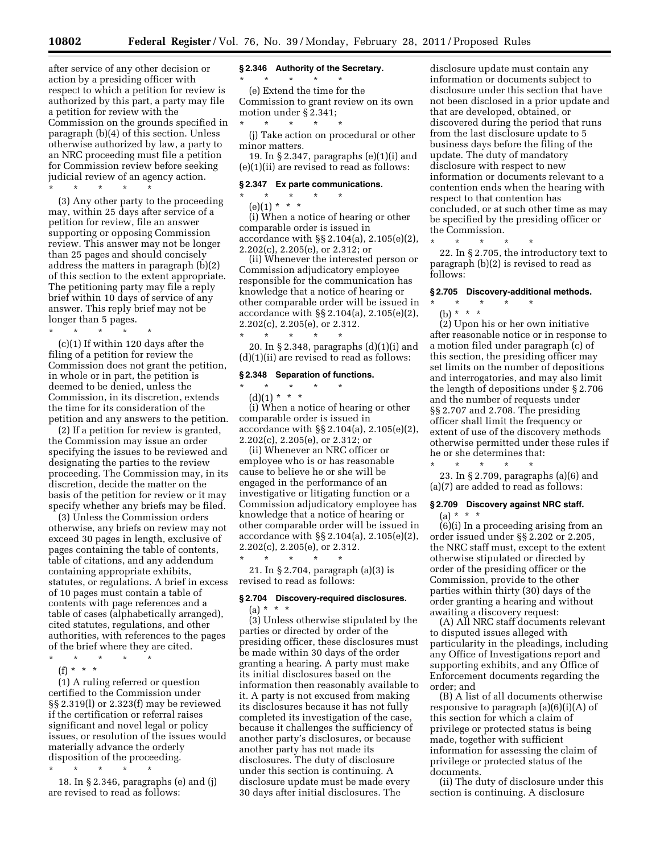after service of any other decision or action by a presiding officer with respect to which a petition for review is authorized by this part, a party may file a petition for review with the Commission on the grounds specified in paragraph (b)(4) of this section. Unless otherwise authorized by law, a party to an NRC proceeding must file a petition for Commission review before seeking judicial review of an agency action. \* \* \* \* \*

(3) Any other party to the proceeding may, within 25 days after service of a petition for review, file an answer supporting or opposing Commission review. This answer may not be longer than 25 pages and should concisely address the matters in paragraph (b)(2) of this section to the extent appropriate. The petitioning party may file a reply brief within 10 days of service of any answer. This reply brief may not be longer than 5 pages.

\* \* \* \* \*

(c)(1) If within 120 days after the filing of a petition for review the Commission does not grant the petition, in whole or in part, the petition is deemed to be denied, unless the Commission, in its discretion, extends the time for its consideration of the petition and any answers to the petition.

(2) If a petition for review is granted, the Commission may issue an order specifying the issues to be reviewed and designating the parties to the review proceeding. The Commission may, in its discretion, decide the matter on the basis of the petition for review or it may specify whether any briefs may be filed.

(3) Unless the Commission orders otherwise, any briefs on review may not exceed 30 pages in length, exclusive of pages containing the table of contents, table of citations, and any addendum containing appropriate exhibits, statutes, or regulations. A brief in excess of 10 pages must contain a table of contents with page references and a table of cases (alphabetically arranged), cited statutes, regulations, and other authorities, with references to the pages of the brief where they are cited.

\* \* \* \* \* (f) \* \* \*

(1) A ruling referred or question certified to the Commission under §§ 2.319(l) or 2.323(f) may be reviewed if the certification or referral raises significant and novel legal or policy issues, or resolution of the issues would materially advance the orderly disposition of the proceeding.

\* \* \* \* \* 18. In § 2.346, paragraphs (e) and (j) are revised to read as follows:

#### **§ 2.346 Authority of the Secretary.**

\* \* \* \* \* (e) Extend the time for the Commission to grant review on its own motion under § 2.341;

\* \* \* \* \* (j) Take action on procedural or other minor matters.

19. In § 2.347, paragraphs (e)(1)(i) and (e)(1)(ii) are revised to read as follows:

## **§ 2.347 Ex parte communications.**

\* \* \* \* \*

 $(e)(1) * * * *$ 

(i) When a notice of hearing or other comparable order is issued in accordance with §§ 2.104(a), 2.105(e)(2), 2.202(c), 2.205(e), or 2.312; or

(ii) Whenever the interested person or Commission adjudicatory employee responsible for the communication has knowledge that a notice of hearing or other comparable order will be issued in accordance with §§ 2.104(a), 2.105(e)(2), 2.202(c), 2.205(e), or 2.312. \* \* \* \* \*

20. In § 2.348, paragraphs (d)(1)(i) and (d)(1)(ii) are revised to read as follows:

# **§ 2.348 Separation of functions.**

# \* \* \* \* \*

(d)(1) \* \* \* (i) When a notice of hearing or other

comparable order is issued in accordance with §§ 2.104(a), 2.105(e)(2), 2.202(c), 2.205(e), or 2.312; or

(ii) Whenever an NRC officer or employee who is or has reasonable cause to believe he or she will be engaged in the performance of an investigative or litigating function or a Commission adjudicatory employee has knowledge that a notice of hearing or other comparable order will be issued in accordance with §§ 2.104(a), 2.105(e)(2), 2.202(c), 2.205(e), or 2.312.

\* \* \* \* \* 21. In § 2.704, paragraph (a)(3) is revised to read as follows:

# **§ 2.704 Discovery-required disclosures.**

 $(a) * * * *$ (3) Unless otherwise stipulated by the parties or directed by order of the presiding officer, these disclosures must be made within 30 days of the order granting a hearing. A party must make its initial disclosures based on the information then reasonably available to it. A party is not excused from making its disclosures because it has not fully completed its investigation of the case, because it challenges the sufficiency of another party's disclosures, or because another party has not made its disclosures. The duty of disclosure under this section is continuing. A disclosure update must be made every 30 days after initial disclosures. The

disclosure update must contain any information or documents subject to disclosure under this section that have not been disclosed in a prior update and that are developed, obtained, or discovered during the period that runs from the last disclosure update to 5 business days before the filing of the update. The duty of mandatory disclosure with respect to new information or documents relevant to a contention ends when the hearing with respect to that contention has concluded, or at such other time as may be specified by the presiding officer or the Commission.

\* \* \* \* \* 22. In § 2.705, the introductory text to paragraph (b)(2) is revised to read as follows:

# **§ 2.705 Discovery-additional methods.**

# \* \* \* \* \* (b) \* \* \*

(2) Upon his or her own initiative after reasonable notice or in response to a motion filed under paragraph (c) of this section, the presiding officer may set limits on the number of depositions and interrogatories, and may also limit the length of depositions under § 2.706 and the number of requests under §§ 2.707 and 2.708. The presiding officer shall limit the frequency or extent of use of the discovery methods otherwise permitted under these rules if he or she determines that: \* \* \* \* \*

23. In § 2.709, paragraphs (a)(6) and (a)(7) are added to read as follows:

# **§ 2.709 Discovery against NRC staff.**   $(a) * * * *$

(6)(i) In a proceeding arising from an order issued under §§ 2.202 or 2.205, the NRC staff must, except to the extent otherwise stipulated or directed by order of the presiding officer or the Commission, provide to the other parties within thirty (30) days of the order granting a hearing and without awaiting a discovery request:

(A) All NRC staff documents relevant to disputed issues alleged with particularity in the pleadings, including any Office of Investigations report and supporting exhibits, and any Office of Enforcement documents regarding the order; and

(B) A list of all documents otherwise responsive to paragraph (a)(6)(i)(A) of this section for which a claim of privilege or protected status is being made, together with sufficient information for assessing the claim of privilege or protected status of the documents.

(ii) The duty of disclosure under this section is continuing. A disclosure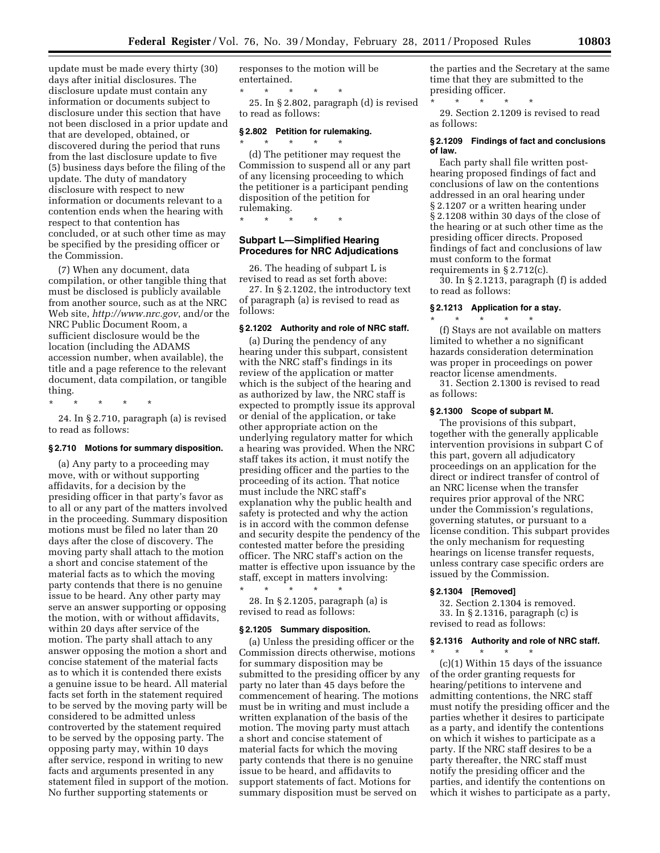update must be made every thirty (30) days after initial disclosures. The disclosure update must contain any information or documents subject to disclosure under this section that have not been disclosed in a prior update and that are developed, obtained, or discovered during the period that runs from the last disclosure update to five (5) business days before the filing of the update. The duty of mandatory disclosure with respect to new information or documents relevant to a contention ends when the hearing with respect to that contention has concluded, or at such other time as may be specified by the presiding officer or the Commission.

(7) When any document, data compilation, or other tangible thing that must be disclosed is publicly available from another source, such as at the NRC Web site, *<http://www.nrc.gov>*, and/or the NRC Public Document Room, a sufficient disclosure would be the location (including the ADAMS accession number, when available), the title and a page reference to the relevant document, data compilation, or tangible thing.

 $\star$   $\star$ 

24. In § 2.710, paragraph (a) is revised to read as follows:

#### **§ 2.710 Motions for summary disposition.**

(a) Any party to a proceeding may move, with or without supporting affidavits, for a decision by the presiding officer in that party's favor as to all or any part of the matters involved in the proceeding. Summary disposition motions must be filed no later than 20 days after the close of discovery. The moving party shall attach to the motion a short and concise statement of the material facts as to which the moving party contends that there is no genuine issue to be heard. Any other party may serve an answer supporting or opposing the motion, with or without affidavits, within 20 days after service of the motion. The party shall attach to any answer opposing the motion a short and concise statement of the material facts as to which it is contended there exists a genuine issue to be heard. All material facts set forth in the statement required to be served by the moving party will be considered to be admitted unless controverted by the statement required to be served by the opposing party. The opposing party may, within 10 days after service, respond in writing to new facts and arguments presented in any statement filed in support of the motion. No further supporting statements or

responses to the motion will be entertained.

\* \* \* \* \* 25. In § 2.802, paragraph (d) is revised to read as follows:

## **§ 2.802 Petition for rulemaking.**

\* \* \* \* \* (d) The petitioner may request the Commission to suspend all or any part of any licensing proceeding to which the petitioner is a participant pending disposition of the petition for

rulemaking.

\* \* \* \* \*

## **Subpart L—Simplified Hearing Procedures for NRC Adjudications**

26. The heading of subpart L is revised to read as set forth above:

27. In § 2.1202, the introductory text of paragraph (a) is revised to read as follows:

#### **§ 2.1202 Authority and role of NRC staff.**

(a) During the pendency of any hearing under this subpart, consistent with the NRC staff's findings in its review of the application or matter which is the subject of the hearing and as authorized by law, the NRC staff is expected to promptly issue its approval or denial of the application, or take other appropriate action on the underlying regulatory matter for which a hearing was provided. When the NRC staff takes its action, it must notify the presiding officer and the parties to the proceeding of its action. That notice must include the NRC staff's explanation why the public health and safety is protected and why the action is in accord with the common defense and security despite the pendency of the contested matter before the presiding officer. The NRC staff's action on the matter is effective upon issuance by the staff, except in matters involving:

\* \* \* \* \* 28. In § 2.1205, paragraph (a) is revised to read as follows:

#### **§ 2.1205 Summary disposition.**

(a) Unless the presiding officer or the Commission directs otherwise, motions for summary disposition may be submitted to the presiding officer by any party no later than 45 days before the commencement of hearing. The motions must be in writing and must include a written explanation of the basis of the motion. The moving party must attach a short and concise statement of material facts for which the moving party contends that there is no genuine issue to be heard, and affidavits to support statements of fact. Motions for summary disposition must be served on

the parties and the Secretary at the same time that they are submitted to the presiding officer.

\* \* \* \* \*

29. Section 2.1209 is revised to read as follows:

## **§ 2.1209 Findings of fact and conclusions of law.**

Each party shall file written posthearing proposed findings of fact and conclusions of law on the contentions addressed in an oral hearing under § 2.1207 or a written hearing under § 2.1208 within 30 days of the close of the hearing or at such other time as the presiding officer directs. Proposed findings of fact and conclusions of law must conform to the format requirements in § 2.712(c).

30. In § 2.1213, paragraph (f) is added to read as follows:

# **§ 2.1213 Application for a stay.**

\* \* \* \* \* (f) Stays are not available on matters limited to whether a no significant hazards consideration determination was proper in proceedings on power reactor license amendments.

31. Section 2.1300 is revised to read as follows:

## **§ 2.1300 Scope of subpart M.**

The provisions of this subpart, together with the generally applicable intervention provisions in subpart C of this part, govern all adjudicatory proceedings on an application for the direct or indirect transfer of control of an NRC license when the transfer requires prior approval of the NRC under the Commission's regulations, governing statutes, or pursuant to a license condition. This subpart provides the only mechanism for requesting hearings on license transfer requests, unless contrary case specific orders are issued by the Commission.

## **§ 2.1304 [Removed]**

\* \* \* \* \*

32. Section 2.1304 is removed. 33. In § 2.1316, paragraph (c) is revised to read as follows:

# **§ 2.1316 Authority and role of NRC staff.**

(c)(1) Within 15 days of the issuance of the order granting requests for hearing/petitions to intervene and admitting contentions, the NRC staff must notify the presiding officer and the parties whether it desires to participate as a party, and identify the contentions on which it wishes to participate as a party. If the NRC staff desires to be a party thereafter, the NRC staff must notify the presiding officer and the parties, and identify the contentions on which it wishes to participate as a party,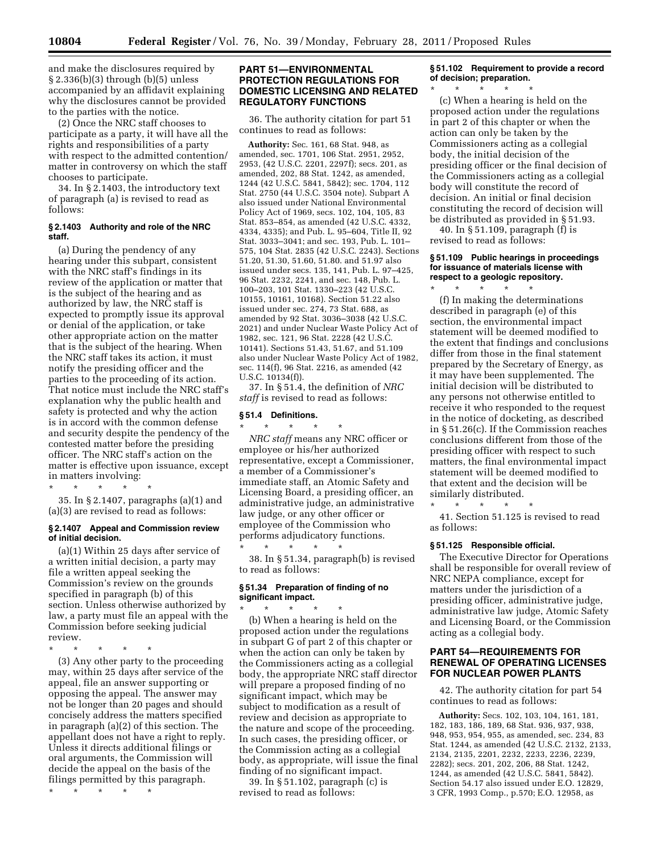and make the disclosures required by § 2.336(b)(3) through (b)(5) unless accompanied by an affidavit explaining why the disclosures cannot be provided to the parties with the notice.

(2) Once the NRC staff chooses to participate as a party, it will have all the rights and responsibilities of a party with respect to the admitted contention/ matter in controversy on which the staff chooses to participate.

34. In § 2.1403, the introductory text of paragraph (a) is revised to read as follows:

## **§ 2.1403 Authority and role of the NRC staff.**

(a) During the pendency of any hearing under this subpart, consistent with the NRC staff's findings in its review of the application or matter that is the subject of the hearing and as authorized by law, the NRC staff is expected to promptly issue its approval or denial of the application, or take other appropriate action on the matter that is the subject of the hearing. When the NRC staff takes its action, it must notify the presiding officer and the parties to the proceeding of its action. That notice must include the NRC staff's explanation why the public health and safety is protected and why the action is in accord with the common defense and security despite the pendency of the contested matter before the presiding officer. The NRC staff's action on the matter is effective upon issuance, except in matters involving:

\* \* \* \* \* 35. In § 2.1407, paragraphs (a)(1) and (a)(3) are revised to read as follows:

## **§ 2.1407 Appeal and Commission review of initial decision.**

(a)(1) Within 25 days after service of a written initial decision, a party may file a written appeal seeking the Commission's review on the grounds specified in paragraph (b) of this section. Unless otherwise authorized by law, a party must file an appeal with the Commission before seeking judicial review.

\* \* \* \* \*

(3) Any other party to the proceeding may, within 25 days after service of the appeal, file an answer supporting or opposing the appeal. The answer may not be longer than 20 pages and should concisely address the matters specified in paragraph (a)(2) of this section. The appellant does not have a right to reply. Unless it directs additional filings or oral arguments, the Commission will decide the appeal on the basis of the filings permitted by this paragraph.

\* \* \* \* \*

# **PART 51—ENVIRONMENTAL PROTECTION REGULATIONS FOR DOMESTIC LICENSING AND RELATED REGULATORY FUNCTIONS**

36. The authority citation for part 51 continues to read as follows:

**Authority:** Sec. 161, 68 Stat. 948, as amended, sec. 1701, 106 Stat. 2951, 2952, 2953, (42 U.S.C. 2201, 2297f); secs. 201, as amended, 202, 88 Stat. 1242, as amended, 1244 (42 U.S.C. 5841, 5842); sec. 1704, 112 Stat. 2750 (44 U.S.C. 3504 note). Subpart A also issued under National Environmental Policy Act of 1969, secs. 102, 104, 105, 83 Stat. 853–854, as amended (42 U.S.C. 4332, 4334, 4335); and Pub. L. 95–604, Title II, 92 Stat. 3033–3041; and sec. 193, Pub. L. 101– 575, 104 Stat. 2835 (42 U.S.C. 2243). Sections 51.20, 51.30, 51.60, 51.80. and 51.97 also issued under secs. 135, 141, Pub. L. 97–425, 96 Stat. 2232, 2241, and sec. 148, Pub. L. 100–203, 101 Stat. 1330–223 (42 U.S.C. 10155, 10161, 10168). Section 51.22 also issued under sec. 274, 73 Stat. 688, as amended by 92 Stat. 3036–3038 (42 U.S.C. 2021) and under Nuclear Waste Policy Act of 1982, sec. 121, 96 Stat. 2228 (42 U.S.C. 10141). Sections 51.43, 51.67, and 51.109 also under Nuclear Waste Policy Act of 1982, sec. 114(f), 96 Stat. 2216, as amended (42 U.S.C. 10134(f)).

37. In § 51.4, the definition of *NRC staff* is revised to read as follows:

# **§ 51.4 Definitions.**

\* \* \* \* \* *NRC staff* means any NRC officer or employee or his/her authorized representative, except a Commissioner, a member of a Commissioner's immediate staff, an Atomic Safety and Licensing Board, a presiding officer, an administrative judge, an administrative law judge, or any other officer or employee of the Commission who performs adjudicatory functions.

\* \* \* \* \* 38. In § 51.34, paragraph(b) is revised to read as follows:

# **§ 51.34 Preparation of finding of no significant impact.**

\* \* \* \* \* (b) When a hearing is held on the proposed action under the regulations in subpart G of part 2 of this chapter or when the action can only be taken by the Commissioners acting as a collegial body, the appropriate NRC staff director will prepare a proposed finding of no significant impact, which may be subject to modification as a result of review and decision as appropriate to the nature and scope of the proceeding. In such cases, the presiding officer, or the Commission acting as a collegial body, as appropriate, will issue the final finding of no significant impact.

39. In § 51.102, paragraph (c) is revised to read as follows:

# **§ 51.102 Requirement to provide a record of decision; preparation.**

\* \* \* \* \* (c) When a hearing is held on the proposed action under the regulations in part 2 of this chapter or when the action can only be taken by the Commissioners acting as a collegial body, the initial decision of the presiding officer or the final decision of the Commissioners acting as a collegial body will constitute the record of decision. An initial or final decision constituting the record of decision will be distributed as provided in § 51.93.

40. In § 51.109, paragraph (f) is revised to read as follows:

## **§ 51.109 Public hearings in proceedings for issuance of materials license with respect to a geologic repository.**

\* \* \* \* \* (f) In making the determinations described in paragraph (e) of this section, the environmental impact statement will be deemed modified to the extent that findings and conclusions differ from those in the final statement prepared by the Secretary of Energy, as it may have been supplemented. The initial decision will be distributed to any persons not otherwise entitled to receive it who responded to the request in the notice of docketing, as described in § 51.26(c). If the Commission reaches conclusions different from those of the presiding officer with respect to such matters, the final environmental impact statement will be deemed modified to that extent and the decision will be similarly distributed.

41. Section 51.125 is revised to read as follows:

## **§ 51.125 Responsible official.**

\* \* \* \* \*

The Executive Director for Operations shall be responsible for overall review of NRC NEPA compliance, except for matters under the jurisdiction of a presiding officer, administrative judge, administrative law judge, Atomic Safety and Licensing Board, or the Commission acting as a collegial body.

# **PART 54—REQUIREMENTS FOR RENEWAL OF OPERATING LICENSES FOR NUCLEAR POWER PLANTS**

42. The authority citation for part 54 continues to read as follows:

**Authority:** Secs. 102, 103, 104, 161, 181, 182, 183, 186, 189, 68 Stat. 936, 937, 938, 948, 953, 954, 955, as amended, sec. 234, 83 Stat. 1244, as amended (42 U.S.C. 2132, 2133, 2134, 2135, 2201, 2232, 2233, 2236, 2239, 2282); secs. 201, 202, 206, 88 Stat. 1242, 1244, as amended (42 U.S.C. 5841, 5842). Section 54.17 also issued under E.O. 12829, 3 CFR, 1993 Comp., p.570; E.O. 12958, as